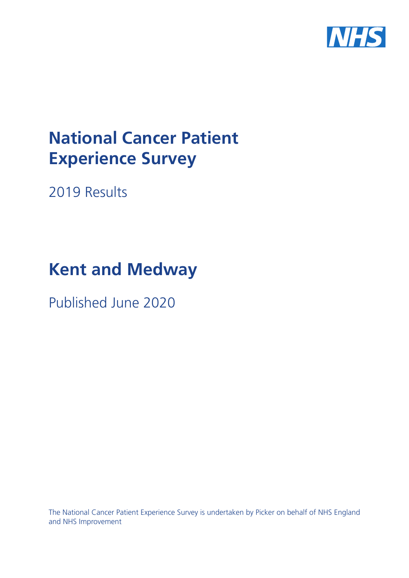

# **National Cancer Patient Experience Survey**

2019 Results

# **Kent and Medway**

Published June 2020

The National Cancer Patient Experience Survey is undertaken by Picker on behalf of NHS England and NHS Improvement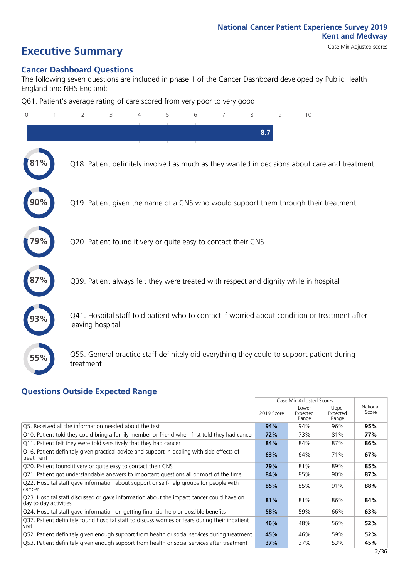# **Executive Summary** Case Mix Adjusted scores

### **Cancer Dashboard Questions**

The following seven questions are included in phase 1 of the Cancer Dashboard developed by Public Health England and NHS England:

Q61. Patient's average rating of care scored from very poor to very good

| 0   | 2                | 3 | 5 | 6 | 7                                                             | 8   | q | 10                                                                                            |  |
|-----|------------------|---|---|---|---------------------------------------------------------------|-----|---|-----------------------------------------------------------------------------------------------|--|
|     |                  |   |   |   |                                                               | 8.7 |   |                                                                                               |  |
|     |                  |   |   |   |                                                               |     |   | Q18. Patient definitely involved as much as they wanted in decisions about care and treatment |  |
|     |                  |   |   |   |                                                               |     |   | Q19. Patient given the name of a CNS who would support them through their treatment           |  |
|     |                  |   |   |   | Q20. Patient found it very or quite easy to contact their CNS |     |   |                                                                                               |  |
|     |                  |   |   |   |                                                               |     |   | Q39. Patient always felt they were treated with respect and dignity while in hospital         |  |
|     | leaving hospital |   |   |   |                                                               |     |   | Q41. Hospital staff told patient who to contact if worried about condition or treatment after |  |
| 55% | treatment        |   |   |   |                                                               |     |   | Q55. General practice staff definitely did everything they could to support patient during    |  |
|     |                  |   |   |   |                                                               |     |   |                                                                                               |  |

### **Questions Outside Expected Range**

|                                                                                                                  |            | Case Mix Adjusted Scores   |                            |                   |
|------------------------------------------------------------------------------------------------------------------|------------|----------------------------|----------------------------|-------------------|
|                                                                                                                  | 2019 Score | Lower<br>Expected<br>Range | Upper<br>Expected<br>Range | National<br>Score |
| Q5. Received all the information needed about the test                                                           | 94%        | 94%                        | 96%                        | 95%               |
| Q10. Patient told they could bring a family member or friend when first told they had cancer                     | 72%        | 73%                        | 81%                        | 77%               |
| Q11. Patient felt they were told sensitively that they had cancer                                                | 84%        | 84%                        | 87%                        | 86%               |
| Q16. Patient definitely given practical advice and support in dealing with side effects of<br>treatment          | 63%        | 64%                        | 71%                        | 67%               |
| Q20. Patient found it very or quite easy to contact their CNS                                                    | 79%        | 81%                        | 89%                        | 85%               |
| Q21. Patient got understandable answers to important questions all or most of the time                           | 84%        | 85%                        | 90%                        | 87%               |
| Q22. Hospital staff gave information about support or self-help groups for people with<br>cancer                 | 85%        | 85%                        | 91%                        | 88%               |
| Q23. Hospital staff discussed or gave information about the impact cancer could have on<br>day to day activities | 81%        | 81%                        | 86%                        | 84%               |
| Q24. Hospital staff gave information on getting financial help or possible benefits                              | 58%        | 59%                        | 66%                        | 63%               |
| Q37. Patient definitely found hospital staff to discuss worries or fears during their inpatient<br>visit         | 46%        | 48%                        | 56%                        | 52%               |
| Q52. Patient definitely given enough support from health or social services during treatment                     | 45%        | 46%                        | 59%                        | 52%               |
| Q53. Patient definitely given enough support from health or social services after treatment                      | 37%        | 37%                        | 53%                        | 45%               |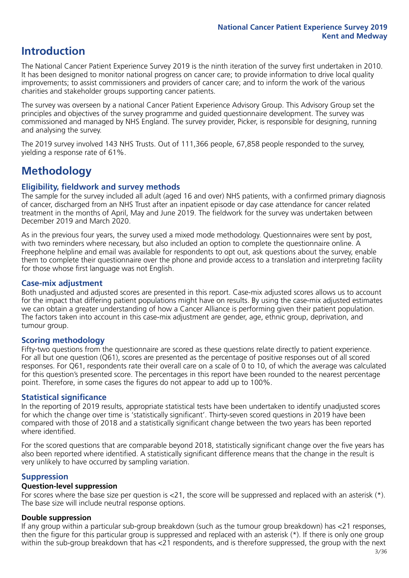### **Introduction**

The National Cancer Patient Experience Survey 2019 is the ninth iteration of the survey first undertaken in 2010. It has been designed to monitor national progress on cancer care; to provide information to drive local quality improvements; to assist commissioners and providers of cancer care; and to inform the work of the various charities and stakeholder groups supporting cancer patients.

The survey was overseen by a national Cancer Patient Experience Advisory Group. This Advisory Group set the principles and objectives of the survey programme and guided questionnaire development. The survey was commissioned and managed by NHS England. The survey provider, Picker, is responsible for designing, running and analysing the survey.

The 2019 survey involved 143 NHS Trusts. Out of 111,366 people, 67,858 people responded to the survey, yielding a response rate of 61%.

### **Methodology**

### **Eligibility, fieldwork and survey methods**

The sample for the survey included all adult (aged 16 and over) NHS patients, with a confirmed primary diagnosis of cancer, discharged from an NHS Trust after an inpatient episode or day case attendance for cancer related treatment in the months of April, May and June 2019. The fieldwork for the survey was undertaken between December 2019 and March 2020.

As in the previous four years, the survey used a mixed mode methodology. Questionnaires were sent by post, with two reminders where necessary, but also included an option to complete the questionnaire online. A Freephone helpline and email was available for respondents to opt out, ask questions about the survey, enable them to complete their questionnaire over the phone and provide access to a translation and interpreting facility for those whose first language was not English.

### **Case-mix adjustment**

Both unadjusted and adjusted scores are presented in this report. Case-mix adjusted scores allows us to account for the impact that differing patient populations might have on results. By using the case-mix adjusted estimates we can obtain a greater understanding of how a Cancer Alliance is performing given their patient population. The factors taken into account in this case-mix adjustment are gender, age, ethnic group, deprivation, and tumour group.

### **Scoring methodology**

Fifty-two questions from the questionnaire are scored as these questions relate directly to patient experience. For all but one question (Q61), scores are presented as the percentage of positive responses out of all scored responses. For Q61, respondents rate their overall care on a scale of 0 to 10, of which the average was calculated for this question's presented score. The percentages in this report have been rounded to the nearest percentage point. Therefore, in some cases the figures do not appear to add up to 100%.

### **Statistical significance**

In the reporting of 2019 results, appropriate statistical tests have been undertaken to identify unadjusted scores for which the change over time is 'statistically significant'. Thirty-seven scored questions in 2019 have been compared with those of 2018 and a statistically significant change between the two years has been reported where identified.

For the scored questions that are comparable beyond 2018, statistically significant change over the five years has also been reported where identified. A statistically significant difference means that the change in the result is very unlikely to have occurred by sampling variation.

### **Suppression**

### **Question-level suppression**

For scores where the base size per question is  $<$ 21, the score will be suppressed and replaced with an asterisk (\*). The base size will include neutral response options.

### **Double suppression**

If any group within a particular sub-group breakdown (such as the tumour group breakdown) has <21 responses, then the figure for this particular group is suppressed and replaced with an asterisk (\*). If there is only one group within the sub-group breakdown that has <21 respondents, and is therefore suppressed, the group with the next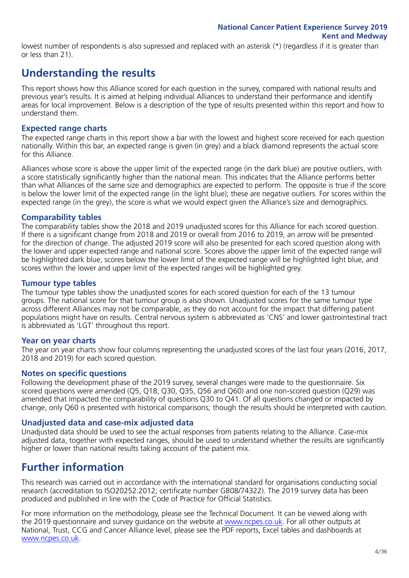lowest number of respondents is also supressed and replaced with an asterisk (\*) (regardless if it is greater than or less than 21).

### **Understanding the results**

This report shows how this Alliance scored for each question in the survey, compared with national results and previous year's results. It is aimed at helping individual Alliances to understand their performance and identify areas for local improvement. Below is a description of the type of results presented within this report and how to understand them.

### **Expected range charts**

The expected range charts in this report show a bar with the lowest and highest score received for each question nationally. Within this bar, an expected range is given (in grey) and a black diamond represents the actual score for this Alliance.

Alliances whose score is above the upper limit of the expected range (in the dark blue) are positive outliers, with a score statistically significantly higher than the national mean. This indicates that the Alliance performs better than what Alliances of the same size and demographics are expected to perform. The opposite is true if the score is below the lower limit of the expected range (in the light blue); these are negative outliers. For scores within the expected range (in the grey), the score is what we would expect given the Alliance's size and demographics.

### **Comparability tables**

The comparability tables show the 2018 and 2019 unadjusted scores for this Alliance for each scored question. If there is a significant change from 2018 and 2019 or overall from 2016 to 2019, an arrow will be presented for the direction of change. The adjusted 2019 score will also be presented for each scored question along with the lower and upper expected range and national score. Scores above the upper limit of the expected range will be highlighted dark blue, scores below the lower limit of the expected range will be highlighted light blue, and scores within the lower and upper limit of the expected ranges will be highlighted grey.

### **Tumour type tables**

The tumour type tables show the unadjusted scores for each scored question for each of the 13 tumour groups. The national score for that tumour group is also shown. Unadjusted scores for the same tumour type across different Alliances may not be comparable, as they do not account for the impact that differing patient populations might have on results. Central nervous system is abbreviated as 'CNS' and lower gastrointestinal tract is abbreviated as 'LGT' throughout this report.

### **Year on year charts**

The year on year charts show four columns representing the unadjusted scores of the last four years (2016, 2017, 2018 and 2019) for each scored question.

### **Notes on specific questions**

Following the development phase of the 2019 survey, several changes were made to the questionnaire. Six scored questions were amended (Q5, Q18, Q30, Q35, Q56 and Q60) and one non-scored question (Q29) was amended that impacted the comparability of questions Q30 to Q41. Of all questions changed or impacted by change, only Q60 is presented with historical comparisons; though the results should be interpreted with caution.

### **Unadjusted data and case-mix adjusted data**

Unadjusted data should be used to see the actual responses from patients relating to the Alliance. Case-mix adjusted data, together with expected ranges, should be used to understand whether the results are significantly higher or lower than national results taking account of the patient mix.

### **Further information**

This research was carried out in accordance with the international standard for organisations conducting social research (accreditation to ISO20252:2012; certificate number GB08/74322). The 2019 survey data has been produced and published in line with the Code of Practice for Official Statistics.

For more information on the methodology, please see the Technical Document. It can be viewed along with the 2019 questionnaire and survey guidance on the website at [www.ncpes.co.uk](https://www.ncpes.co.uk/supporting-documents). For all other outputs at National, Trust, CCG and Cancer Alliance level, please see the PDF reports, Excel tables and dashboards at [www.ncpes.co.uk.](https://www.ncpes.co.uk/current-results)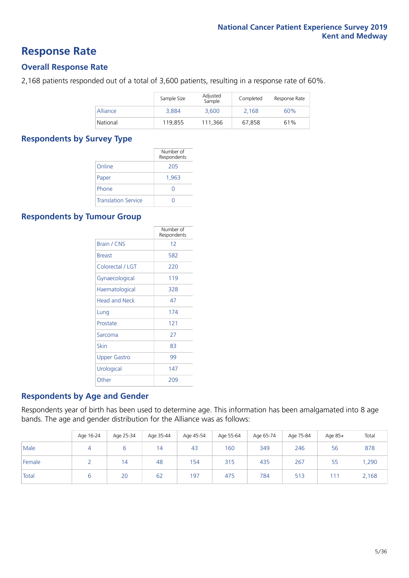### **Response Rate**

### **Overall Response Rate**

2,168 patients responded out of a total of 3,600 patients, resulting in a response rate of 60%.

|          | Sample Size | Adjusted<br>Sample | Completed | Response Rate |
|----------|-------------|--------------------|-----------|---------------|
| Alliance | 3.884       | 3.600              | 2.168     | 60%           |
| National | 119,855     | 111.366            | 67.858    | 61%           |

### **Respondents by Survey Type**

|                            | Number of<br>Respondents |
|----------------------------|--------------------------|
| Online                     | 205                      |
| Paper                      | 1,963                    |
| Phone                      |                          |
| <b>Translation Service</b> |                          |

### **Respondents by Tumour Group**

|                      | Number of<br>Respondents |
|----------------------|--------------------------|
| <b>Brain / CNS</b>   | 12                       |
| <b>Breast</b>        | 582                      |
| Colorectal / LGT     | 220                      |
| Gynaecological       | 119                      |
| Haematological       | 328                      |
| <b>Head and Neck</b> | 47                       |
| Lung                 | 174                      |
| Prostate             | 121                      |
| Sarcoma              | 27                       |
| Skin                 | 83                       |
| Upper Gastro         | 99                       |
| Urological           | 147                      |
| Other                | 209                      |

### **Respondents by Age and Gender**

Respondents year of birth has been used to determine age. This information has been amalgamated into 8 age bands. The age and gender distribution for the Alliance was as follows:

|        | Age 16-24 | Age 25-34 | Age 35-44 | Age 45-54 | Age 55-64 | Age 65-74 | Age 75-84 | Age 85+ | Total |
|--------|-----------|-----------|-----------|-----------|-----------|-----------|-----------|---------|-------|
| Male   | 4         |           | 14        | 43        | 160       | 349       | 246       | 56      | 878   |
| Female |           | 14        | 48        | 154       | 315       | 435       | 267       | 55      | ,290  |
| Total  |           | 20        | 62        | 197       | 475       | 784       | 513       | 111     | 2,168 |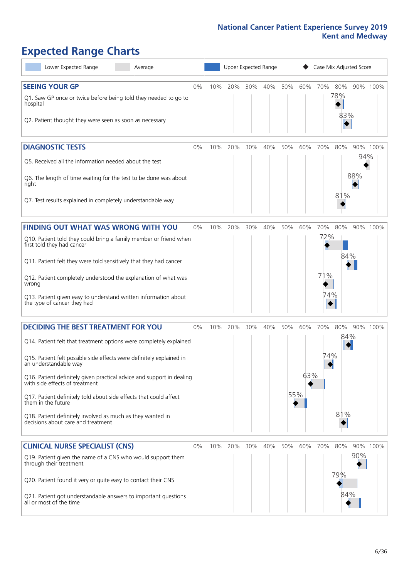# **Expected Range Charts**

| Lower Expected Range<br>Average                                                                         |    | Upper Expected Range |     |     |     |     |     | Case Mix Adjusted Score |            |     |          |  |
|---------------------------------------------------------------------------------------------------------|----|----------------------|-----|-----|-----|-----|-----|-------------------------|------------|-----|----------|--|
| <b>SEEING YOUR GP</b>                                                                                   | 0% | 10%                  | 20% | 30% | 40% | 50% | 60% | 70%                     | 80%        |     | 90% 100% |  |
| Q1. Saw GP once or twice before being told they needed to go to<br>hospital                             |    |                      |     |     |     |     |     |                         | 78%<br>83% |     |          |  |
| Q2. Patient thought they were seen as soon as necessary                                                 |    |                      |     |     |     |     |     |                         |            |     |          |  |
| <b>DIAGNOSTIC TESTS</b>                                                                                 | 0% | 10%                  | 20% | 30% | 40% | 50% | 60% | 70%                     | 80%        | 94% | 90% 100% |  |
| Q5. Received all the information needed about the test                                                  |    |                      |     |     |     |     |     |                         |            |     |          |  |
| Q6. The length of time waiting for the test to be done was about<br>right                               |    |                      |     |     |     |     |     |                         | 81%        | 88% |          |  |
| Q7. Test results explained in completely understandable way                                             |    |                      |     |     |     |     |     |                         |            |     |          |  |
| <b>FINDING OUT WHAT WAS WRONG WITH YOU</b>                                                              | 0% | 10%                  | 20% | 30% | 40% | 50% | 60% | 70%                     | 80%        |     | 90% 100% |  |
| Q10. Patient told they could bring a family member or friend when<br>first told they had cancer         |    |                      |     |     |     |     |     | 72%                     |            |     |          |  |
| Q11. Patient felt they were told sensitively that they had cancer                                       |    |                      |     |     |     |     |     |                         | 84%        |     |          |  |
| Q12. Patient completely understood the explanation of what was<br>wrong                                 |    |                      |     |     |     |     |     | 71%                     |            |     |          |  |
| Q13. Patient given easy to understand written information about<br>the type of cancer they had          |    |                      |     |     |     |     |     | 74%                     |            |     |          |  |
| <b>DECIDING THE BEST TREATMENT FOR YOU</b>                                                              | 0% | 10%                  | 20% | 30% | 40% | 50% | 60% | 70%                     | 80%        |     | 90% 100% |  |
| Q14. Patient felt that treatment options were completely explained                                      |    |                      |     |     |     |     |     |                         | 84%        |     |          |  |
| Q15. Patient felt possible side effects were definitely explained in<br>an understandable way           |    |                      |     |     |     |     |     | 74%                     |            |     |          |  |
| Q16. Patient definitely given practical advice and support in dealing<br>with side effects of treatment |    |                      |     |     |     |     | 63% |                         |            |     |          |  |
| Q17. Patient definitely told about side effects that could affect<br>them in the future                 |    |                      |     |     |     |     | 55% |                         |            |     |          |  |
| Q18. Patient definitely involved as much as they wanted in<br>decisions about care and treatment        |    |                      |     |     |     |     |     |                         | 81%        |     |          |  |
| <b>CLINICAL NURSE SPECIALIST (CNS)</b>                                                                  | 0% | 10%                  | 20% | 30% | 40% | 50% | 60% | 70%                     | 80%        |     | 90% 100% |  |
| Q19. Patient given the name of a CNS who would support them<br>through their treatment                  |    |                      |     |     |     |     |     |                         |            | 90% |          |  |
| Q20. Patient found it very or quite easy to contact their CNS                                           |    |                      |     |     |     |     |     |                         | 79%        |     |          |  |
| Q21. Patient got understandable answers to important questions<br>all or most of the time               |    |                      |     |     |     |     |     |                         | 84%        |     |          |  |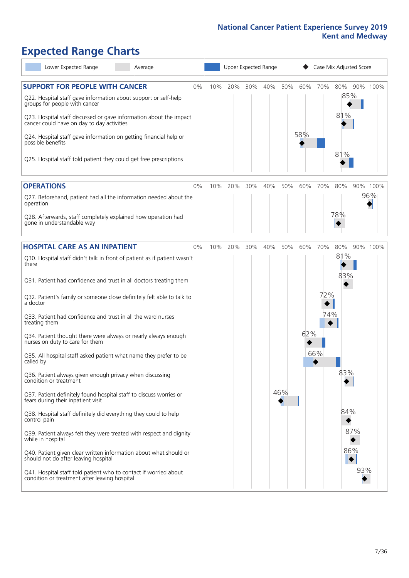# **Expected Range Charts**

| Lower Expected Range<br>Average                                                                                                                                                                                                                                                                                                                                                                                                                                                                                                                                                                                                                                                                                                                                                                                                                                                                                                                                                                                                                                                                                                                                                   |    |     | Upper Expected Range |     |     |            |            |                          | Case Mix Adjusted Score                       |                 |
|-----------------------------------------------------------------------------------------------------------------------------------------------------------------------------------------------------------------------------------------------------------------------------------------------------------------------------------------------------------------------------------------------------------------------------------------------------------------------------------------------------------------------------------------------------------------------------------------------------------------------------------------------------------------------------------------------------------------------------------------------------------------------------------------------------------------------------------------------------------------------------------------------------------------------------------------------------------------------------------------------------------------------------------------------------------------------------------------------------------------------------------------------------------------------------------|----|-----|----------------------|-----|-----|------------|------------|--------------------------|-----------------------------------------------|-----------------|
| <b>SUPPORT FOR PEOPLE WITH CANCER</b><br>Q22. Hospital staff gave information about support or self-help<br>groups for people with cancer<br>Q23. Hospital staff discussed or gave information about the impact<br>cancer could have on day to day activities<br>Q24. Hospital staff gave information on getting financial help or<br>possible benefits<br>Q25. Hospital staff told patient they could get free prescriptions                                                                                                                                                                                                                                                                                                                                                                                                                                                                                                                                                                                                                                                                                                                                                     | 0% | 10% | 20%                  | 30% | 40% | 50%        | 60%<br>58% | 70%                      | 80%<br>85%<br>81%<br>81%                      | 90% 100%        |
| <b>OPERATIONS</b><br>Q27. Beforehand, patient had all the information needed about the<br>operation<br>Q28. Afterwards, staff completely explained how operation had<br>gone in understandable way                                                                                                                                                                                                                                                                                                                                                                                                                                                                                                                                                                                                                                                                                                                                                                                                                                                                                                                                                                                | 0% | 10% | 20%                  | 30% | 40% | 50%        | 60%        | 70%                      | 80%<br>78%                                    | 90% 100%<br>96% |
| <b>HOSPITAL CARE AS AN INPATIENT</b><br>Q30. Hospital staff didn't talk in front of patient as if patient wasn't<br>there<br>Q31. Patient had confidence and trust in all doctors treating them<br>Q32. Patient's family or someone close definitely felt able to talk to<br>a doctor<br>Q33. Patient had confidence and trust in all the ward nurses<br>treating them<br>Q34. Patient thought there were always or nearly always enough<br>nurses on duty to care for them<br>Q35. All hospital staff asked patient what name they prefer to be<br>called by<br>Q36. Patient always given enough privacy when discussing<br>condition or treatment<br>Q37. Patient definitely found hospital staff to discuss worries or<br>fears during their inpatient visit<br>Q38. Hospital staff definitely did everything they could to help<br>control pain<br>Q39. Patient always felt they were treated with respect and dignity<br>while in hospital<br>Q40. Patient given clear written information about what should or<br>should not do after leaving hospital<br>Q41. Hospital staff told patient who to contact if worried about<br>condition or treatment after leaving hospital | 0% | 10% | 20%                  | 30% | 40% | 50%<br>46% | 60%<br>62% | 70%<br>72%<br>74%<br>66% | 80%<br>81%<br>83%<br>83%<br>84%<br>87%<br>86% | 90% 100%<br>93% |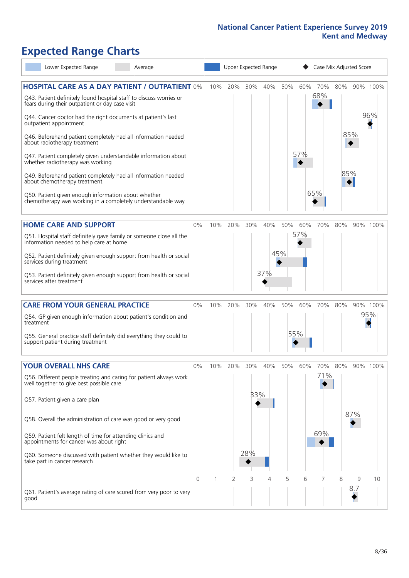# **Expected Range Charts**

|           | Lower Expected Range                                                                                                  | Average |    |     |         |     | Upper Expected Range |     | Case Mix Adjusted Score |         |     |     |          |
|-----------|-----------------------------------------------------------------------------------------------------------------------|---------|----|-----|---------|-----|----------------------|-----|-------------------------|---------|-----|-----|----------|
|           | <b>HOSPITAL CARE AS A DAY PATIENT / OUTPATIENT 0%</b>                                                                 |         |    | 10% | 20%     | 30% | 40%                  | 50% | 60%                     | 70%     | 80% |     | 90% 100% |
|           | Q43. Patient definitely found hospital staff to discuss worries or<br>fears during their outpatient or day case visit |         |    |     |         |     |                      |     |                         | 68%     |     |     |          |
|           | Q44. Cancer doctor had the right documents at patient's last<br>outpatient appointment                                |         |    |     |         |     |                      |     |                         |         |     |     | 96%      |
|           | Q46. Beforehand patient completely had all information needed<br>about radiotherapy treatment                         |         |    |     |         |     |                      |     |                         |         | 85% |     |          |
|           | Q47. Patient completely given understandable information about<br>whether radiotherapy was working                    |         |    |     |         |     |                      |     | 57%                     |         |     |     |          |
|           | Q49. Beforehand patient completely had all information needed<br>about chemotherapy treatment                         |         |    |     |         |     |                      |     |                         |         | 85% |     |          |
|           | Q50. Patient given enough information about whether<br>chemotherapy was working in a completely understandable way    |         |    |     |         |     |                      |     |                         | 65%     |     |     |          |
|           | <b>HOME CARE AND SUPPORT</b>                                                                                          |         | 0% |     | 10% 20% | 30% | 40%                  | 50% | 60%                     | 70%     | 80% |     | 90% 100% |
|           | Q51. Hospital staff definitely gave family or someone close all the<br>information needed to help care at home        |         |    |     |         |     |                      |     | 57%                     |         |     |     |          |
|           | Q52. Patient definitely given enough support from health or social<br>services during treatment                       |         |    |     |         |     |                      | 45% |                         |         |     |     |          |
|           | Q53. Patient definitely given enough support from health or social<br>services after treatment                        |         |    |     |         |     | 37%                  |     |                         |         |     |     |          |
|           | <b>CARE FROM YOUR GENERAL PRACTICE</b>                                                                                |         | 0% | 10% | 20%     | 30% | 40%                  | 50% | 60%                     | 70%     | 80% |     | 90% 100% |
| treatment | Q54. GP given enough information about patient's condition and                                                        |         |    |     |         |     |                      |     |                         |         |     |     | 95%      |
|           | Q55. General practice staff definitely did everything they could to<br>support patient during treatment               |         |    |     |         |     |                      |     | 55%                     |         |     |     |          |
|           | <b>YOUR OVERALL NHS CARE</b>                                                                                          |         | 0% | 10% | 20%     | 30% | 40%                  | 50% | 60%                     | 70% 80% |     |     | 90% 100% |
|           | Q56. Different people treating and caring for patient always work<br>well together to give best possible care         |         |    |     |         |     |                      |     |                         | 71%     |     |     |          |
|           | Q57. Patient given a care plan                                                                                        |         |    |     |         | 33% |                      |     |                         |         |     |     |          |
|           | Q58. Overall the administration of care was good or very good                                                         |         |    |     |         |     |                      |     |                         |         |     | 87% |          |
|           | Q59. Patient felt length of time for attending clinics and<br>appointments for cancer was about right                 |         |    |     |         |     |                      |     |                         | 69%     |     |     |          |
|           | Q60. Someone discussed with patient whether they would like to<br>take part in cancer research                        |         |    |     |         | 28% |                      |     |                         |         |     |     |          |
|           |                                                                                                                       |         | 0  |     | 2       | 3   | 4                    | 5   | 6                       | 7       | 8   | 9   | 10       |
| good      | Q61. Patient's average rating of care scored from very poor to very                                                   |         |    |     |         |     |                      |     |                         |         |     | 8.7 |          |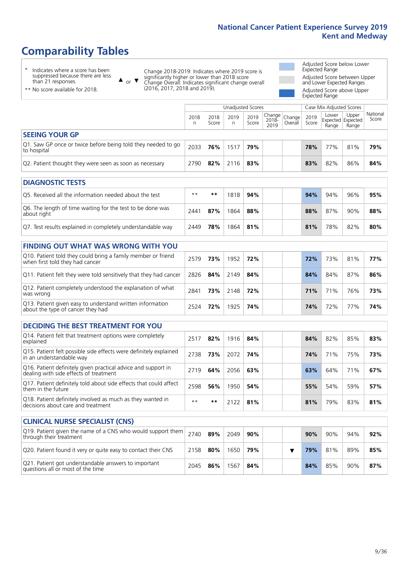# **Comparability Tables**

\* Indicates where a score has been suppressed because there are less than 21 responses.

\*\* No score available for 2018.

 $\triangle$  or  $\nabla$ 

Change 2018-2019: Indicates where 2019 score is significantly higher or lower than 2018 score Change Overall: Indicates significant change overall (2016, 2017, 2018 and 2019).

Adjusted Score below Lower Expected Range Adjusted Score between Upper and Lower Expected Ranges Adjusted Score above Upper

Expected Range

|                                                                             | Unadjusted Scores<br>Case Mix Adjusted Scores |               |           |               |                         |                   |               |                                     |                |                   |
|-----------------------------------------------------------------------------|-----------------------------------------------|---------------|-----------|---------------|-------------------------|-------------------|---------------|-------------------------------------|----------------|-------------------|
|                                                                             | 2018                                          | 2018<br>Score | 2019<br>n | 2019<br>Score | Change<br>2018-<br>2019 | Change<br>Overall | 2019<br>Score | Lower<br>Expected Expected<br>Range | Upper<br>Range | National<br>Score |
| <b>SEEING YOUR GP</b>                                                       |                                               |               |           |               |                         |                   |               |                                     |                |                   |
| Q1. Saw GP once or twice before being told they needed to go<br>to hospital | 2033                                          | 76%           | 1517      | 79%           |                         |                   | 78%           | 77%                                 | 81%            | 79%               |
| Q2. Patient thought they were seen as soon as necessary                     | 2790                                          | 82%           | 2116      | 83%           |                         |                   | 83%           | 82%                                 | 86%            | 84%               |

| <b>DIAGNOSTIC TESTS</b>                                                   |       |     |      |     |  |     |     |     |     |
|---------------------------------------------------------------------------|-------|-----|------|-----|--|-----|-----|-----|-----|
| O5. Received all the information needed about the test                    | $***$ | **  | 818  | 94% |  | 94% | 94% | 96% | 95% |
| Q6. The length of time waiting for the test to be done was<br>about right | 2441  | 87% | 864  | 88% |  | 88% | 87% | 90% | 88% |
| Q7. Test results explained in completely understandable way               | 2449  | 78% | '864 | 81% |  | 81% | 78% | 82% | 80% |

| <b>FINDING OUT WHAT WAS WRONG WITH YOU</b>                                                      |      |     |      |     |     |     |     |     |
|-------------------------------------------------------------------------------------------------|------|-----|------|-----|-----|-----|-----|-----|
| Q10. Patient told they could bring a family member or friend<br>when first told they had cancer | 2579 | 73% | 1952 | 72% | 72% | 73% | 81% | 77% |
| Q11. Patient felt they were told sensitively that they had cancer                               | 2826 | 84% | 2149 | 84% | 84% | 84% | 87% | 86% |
| Q12. Patient completely understood the explanation of what<br>was wrong                         | 2841 | 73% | 2148 | 72% | 71% | 71% | 76% | 73% |
| Q13. Patient given easy to understand written information<br>about the type of cancer they had  | 2524 | 72% | 1925 | 74% | 74% | 72% | 77% | 74% |

| <b>DECIDING THE BEST TREATMENT FOR YOU</b>                                                              |      |     |      |     |  |     |     |     |     |
|---------------------------------------------------------------------------------------------------------|------|-----|------|-----|--|-----|-----|-----|-----|
| Q14. Patient felt that treatment options were completely<br>explained                                   | 2517 | 82% | 1916 | 84% |  | 84% | 82% | 85% | 83% |
| Q15. Patient felt possible side effects were definitely explained<br>in an understandable way           | 2738 | 73% | 2072 | 74% |  | 74% | 71% | 75% | 73% |
| Q16. Patient definitely given practical advice and support in<br>dealing with side effects of treatment | 2719 | 64% | 2056 | 63% |  | 63% | 64% | 71% | 67% |
| Q17. Patient definitely told about side effects that could affect<br>them in the future                 | 2598 | 56% | 1950 | 54% |  | 55% | 54% | 59% | 57% |
| Q18. Patient definitely involved as much as they wanted in<br>decisions about care and treatment        | $**$ | **  |      | 81% |  | 81% | 79% | 83% | 81% |

| <b>CLINICAL NURSE SPECIALIST (CNS)</b>                                                                                        |      |     |      |     |  |     |     |     |     |
|-------------------------------------------------------------------------------------------------------------------------------|------|-----|------|-----|--|-----|-----|-----|-----|
| $\sqrt{\text{Q19}}$ . Patient given the name of a CNS who would support them $\sqrt{\text{Q19}}$ .<br>through their treatment |      | 89% | 2049 | 90% |  | 90% | 90% | 94% | 92% |
| Q20. Patient found it very or quite easy to contact their CNS                                                                 | 2158 | 80% | 1650 | 79% |  | 79% | 81% | 89% | 85% |
| Q21. Patient got understandable answers to important<br>questions all or most of the time                                     | 2045 | 86% | 1567 | 84% |  | 84% | 85% | 90% | 87% |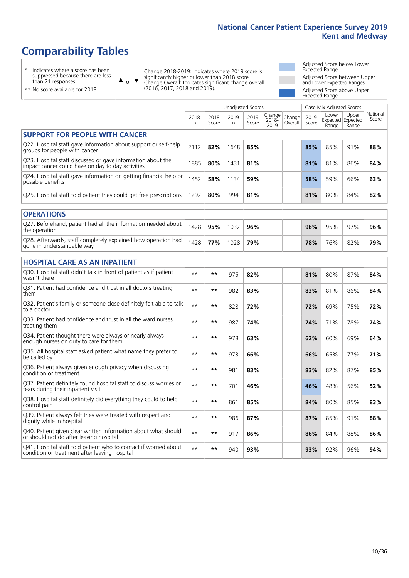# **Comparability Tables**

\* Indicates where a score has been suppressed because there are less than 21 responses.

\*\* No score available for 2018.

 $\triangle$  or  $\nabla$ 

Change 2018-2019: Indicates where 2019 score is significantly higher or lower than 2018 score Change Overall: Indicates significant change overall (2016, 2017, 2018 and 2019).

Adjusted Score below Lower Expected Range Adjusted Score between Upper and Lower Expected Ranges Adjusted Score above Upper Expected Range

|                                                                                                                   |           |               | <b>Unadjusted Scores</b> |               |                         |                   |               | Case Mix Adjusted Scores |                                     |                   |
|-------------------------------------------------------------------------------------------------------------------|-----------|---------------|--------------------------|---------------|-------------------------|-------------------|---------------|--------------------------|-------------------------------------|-------------------|
|                                                                                                                   | 2018<br>n | 2018<br>Score | 2019<br>n.               | 2019<br>Score | Change<br>2018-<br>2019 | Change<br>Overall | 2019<br>Score | Lower<br>Range           | Upper<br>Expected Expected<br>Range | National<br>Score |
| <b>SUPPORT FOR PEOPLE WITH CANCER</b>                                                                             |           |               |                          |               |                         |                   |               |                          |                                     |                   |
| Q22. Hospital staff gave information about support or self-help<br>groups for people with cancer                  | 2112      | 82%           | 1648                     | 85%           |                         |                   | 85%           | 85%                      | 91%                                 | 88%               |
| Q23. Hospital staff discussed or gave information about the<br>impact cancer could have on day to day activities  | 1885      | 80%           | 1431                     | 81%           |                         |                   | 81%           | 81%                      | 86%                                 | 84%               |
| Q24. Hospital staff gave information on getting financial help or<br>possible benefits                            | 1452      | 58%           | 1134                     | 59%           |                         |                   | 58%           | 59%                      | 66%                                 | 63%               |
| Q25. Hospital staff told patient they could get free prescriptions                                                | 1292      | 80%           | 994                      | 81%           |                         |                   | 81%           | 80%                      | 84%                                 | 82%               |
| <b>OPERATIONS</b>                                                                                                 |           |               |                          |               |                         |                   |               |                          |                                     |                   |
| Q27. Beforehand, patient had all the information needed about<br>the operation                                    | 1428      | 95%           | 1032                     | 96%           |                         |                   | 96%           | 95%                      | 97%                                 | 96%               |
| Q28. Afterwards, staff completely explained how operation had<br>gone in understandable way                       | 1428      | 77%           | 1028                     | 79%           |                         |                   | 78%           | 76%                      | 82%                                 | 79%               |
| <b>HOSPITAL CARE AS AN INPATIENT</b>                                                                              |           |               |                          |               |                         |                   |               |                          |                                     |                   |
| Q30. Hospital staff didn't talk in front of patient as if patient<br>wasn't there                                 | $* *$     | $***$         | 975                      | 82%           |                         |                   | 81%           | 80%                      | 87%                                 | 84%               |
| Q31. Patient had confidence and trust in all doctors treating<br>them                                             | $* *$     | $***$         | 982                      | 83%           |                         |                   | 83%           | 81%                      | 86%                                 | 84%               |
| Q32. Patient's family or someone close definitely felt able to talk<br>to a doctor                                | $* *$     | $***$         | 828                      | 72%           |                         |                   | 72%           | 69%                      | 75%                                 | 72%               |
| Q33. Patient had confidence and trust in all the ward nurses<br>treating them                                     | $* *$     | $***$         | 987                      | 74%           |                         |                   | 74%           | 71%                      | 78%                                 | 74%               |
| Q34. Patient thought there were always or nearly always<br>enough nurses on duty to care for them                 | $* *$     | $***$         | 978                      | 63%           |                         |                   | 62%           | 60%                      | 69%                                 | 64%               |
| Q35. All hospital staff asked patient what name they prefer to<br>be called by                                    | $**$      | $***$         | 973                      | 66%           |                         |                   | 66%           | 65%                      | 77%                                 | 71%               |
| Q36. Patient always given enough privacy when discussing<br>condition or treatment                                | $* *$     | $***$         | 981                      | 83%           |                         |                   | 83%           | 82%                      | 87%                                 | 85%               |
| Q37. Patient definitely found hospital staff to discuss worries or<br>fears during their inpatient visit          | $* *$     | $***$         | 701                      | 46%           |                         |                   | 46%           | 48%                      | 56%                                 | 52%               |
| Q38. Hospital staff definitely did everything they could to help<br>control pain                                  | $* *$     | $***$         | 861                      | 85%           |                         |                   | 84%           | 80%                      | 85%                                 | 83%               |
| Q39. Patient always felt they were treated with respect and<br>dignity while in hospital                          | $* *$     | **            | 986                      | 87%           |                         |                   | 87%           | 85%                      | 91%                                 | 88%               |
| Q40. Patient given clear written information about what should<br>or should not do after leaving hospital         | $**$      | $***$         | 917                      | 86%           |                         |                   | 86%           | 84%                      | 88%                                 | 86%               |
| Q41. Hospital staff told patient who to contact if worried about<br>condition or treatment after leaving hospital | $**$      | $***$         | 940                      | 93%           |                         |                   | 93%           | 92%                      | 96%                                 | 94%               |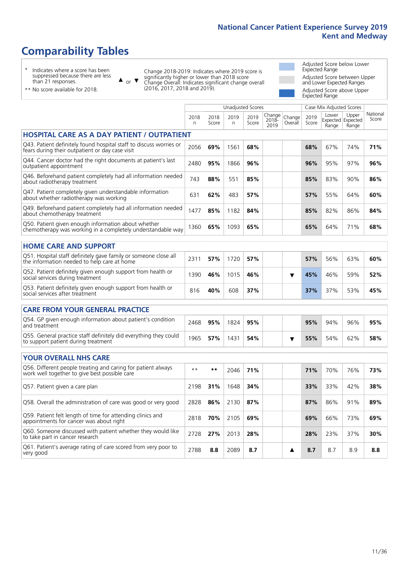# **Comparability Tables**

\* Indicates where a score has been suppressed because there are less than 21 responses.

 $\triangle$  or  $\nabla$ 

Change 2018-2019: Indicates where 2019 score is significantly higher or lower than 2018 score Change Overall: Indicates significant change overall (2016, 2017, 2018 and 2019).

 $\mathbb{R}$ 

Adjusted Score below Lower Expected Range Adjusted Score between Upper and Lower Expected Ranges Adjusted Score above Upper Expected Range

\*\* No score available for 2018.

|                                                                                                                       |           |               | Unadjusted Scores |               |                         |                   |               | Case Mix Adjusted Scores            |                |                   |
|-----------------------------------------------------------------------------------------------------------------------|-----------|---------------|-------------------|---------------|-------------------------|-------------------|---------------|-------------------------------------|----------------|-------------------|
|                                                                                                                       | 2018<br>n | 2018<br>Score | 2019<br>n         | 2019<br>Score | Change<br>2018-<br>2019 | Change<br>Overall | 2019<br>Score | Lower<br>Expected Expected<br>Range | Upper<br>Range | National<br>Score |
| <b>HOSPITAL CARE AS A DAY PATIENT / OUTPATIENT</b>                                                                    |           |               |                   |               |                         |                   |               |                                     |                |                   |
| Q43. Patient definitely found hospital staff to discuss worries or<br>fears during their outpatient or day case visit | 2056      | 69%           | 1561              | 68%           |                         |                   | 68%           | 67%                                 | 74%            | 71%               |
| Q44. Cancer doctor had the right documents at patient's last<br>outpatient appointment                                | 2480      | 95%           | 1866              | 96%           |                         |                   | 96%           | 95%                                 | 97%            | 96%               |
| Q46. Beforehand patient completely had all information needed<br>about radiotherapy treatment                         | 743       | 88%           | 551               | 85%           |                         |                   | 85%           | 83%                                 | 90%            | 86%               |
| Q47. Patient completely given understandable information<br>about whether radiotherapy was working                    | 631       | 62%           | 483               | 57%           |                         |                   | 57%           | 55%                                 | 64%            | 60%               |
| Q49. Beforehand patient completely had all information needed<br>about chemotherapy treatment                         | 1477      | 85%           | 1182              | 84%           |                         |                   | 85%           | 82%                                 | 86%            | 84%               |
| Q50. Patient given enough information about whether<br>chemotherapy was working in a completely understandable way    | 1360      | 65%           | 1093              | 65%           |                         |                   | 65%           | 64%                                 | 71%            | 68%               |
| <b>HOME CARE AND SUPPORT</b>                                                                                          |           |               |                   |               |                         |                   |               |                                     |                |                   |
| Q51. Hospital staff definitely gave family or someone close all<br>the information needed to help care at home        | 2311      | 57%           | 1720              | 57%           |                         |                   | 57%           | 56%                                 | 63%            | 60%               |
| Q52. Patient definitely given enough support from health or<br>social services during treatment                       | 1390      | 46%           | 1015              | 46%           |                         | ▼                 | 45%           | 46%                                 | 59%            | 52%               |
| Q53. Patient definitely given enough support from health or<br>social services after treatment                        | 816       | 40%           | 608               | 37%           |                         |                   | 37%           | 37%                                 | 53%            | 45%               |
| <b>CARE FROM YOUR GENERAL PRACTICE</b>                                                                                |           |               |                   |               |                         |                   |               |                                     |                |                   |
| Q54. GP given enough information about patient's condition<br>and treatment                                           | 2468      | 95%           | 1824              | 95%           |                         |                   | 95%           | 94%                                 | 96%            | 95%               |
| Q55. General practice staff definitely did everything they could<br>to support patient during treatment               | 1965      | 57%           | 1431              | 54%           |                         | ▼                 | 55%           | 54%                                 | 62%            | 58%               |
| <b>YOUR OVERALL NHS CARE</b>                                                                                          |           |               |                   |               |                         |                   |               |                                     |                |                   |
| Q56. Different people treating and caring for patient always<br>work well together to give best possible care         | $* *$     | $***$         | 2046              | 71%           |                         |                   | 71%           | 70%                                 | 76%            | 73%               |
| Q57. Patient given a care plan                                                                                        | 2198      | 31%           | 1648              | 34%           |                         |                   | 33%           | 33%                                 | 42%            | 38%               |
| Q58. Overall the administration of care was good or very good                                                         | 2828      | 86%           | 2130              | 87%           |                         |                   | 87%           | 86%                                 | 91%            | 89%               |
| Q59. Patient felt length of time for attending clinics and<br>appointments for cancer was about right                 | 2818      | 70%           | 2105              | 69%           |                         |                   | 69%           | 66%                                 | 73%            | 69%               |
| Q60. Someone discussed with patient whether they would like<br>to take part in cancer research                        | 2728      | 27%           | 2013              | 28%           |                         |                   | 28%           | 23%                                 | 37%            | 30%               |
| Q61. Patient's average rating of care scored from very poor to<br>very good                                           | 2788      | 8.8           | 2089              | 8.7           |                         | ▲                 | 8.7           | 8.7                                 | 8.9            | 8.8               |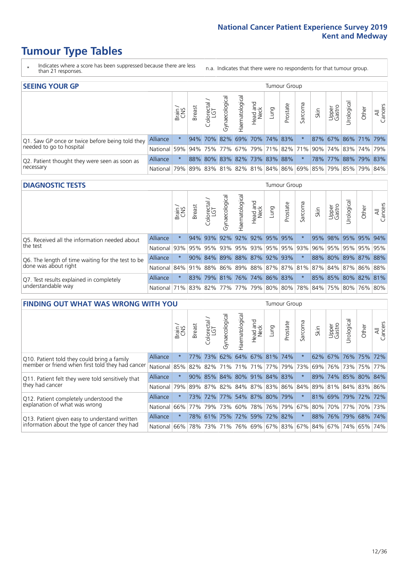- \* Indicates where a score has been suppressed because there are less than 21 responses.
- n.a. Indicates that there were no respondents for that tumour group.

| <b>SEEING YOUR GP</b>                           |                 |              |               |                  |                    |                |                             |      | Tumour Group |         |      |                 |                                                     |       |                |
|-------------------------------------------------|-----------------|--------------|---------------|------------------|--------------------|----------------|-----------------------------|------|--------------|---------|------|-----------------|-----------------------------------------------------|-------|----------------|
|                                                 |                 | Brain<br>CNS | <b>Breast</b> | olorectal<br>LGT | ᠊ᢛ<br>Gynaecologic | Haematological | Head and<br>Neck            | Lung | Prostate     | Sarcoma | Skin | Upper<br>Gastro | $\sigma$<br>Jrologica                               | Other | All<br>Cancers |
| Q1. Saw GP once or twice before being told they | <b>Alliance</b> |              | 94%           | 70%              |                    |                | 82% 69% 70% 74% 83%         |      |              |         | 87%  |                 | 67% 86% 71% 79%                                     |       |                |
| needed to go to hospital                        | National        | 59%          |               |                  |                    |                |                             |      |              |         |      |                 | 94% 75% 77% 67% 79% 71% 82% 71% 90% 74% 83% 74% 79% |       |                |
| Q2. Patient thought they were seen as soon as   | <b>Alliance</b> |              |               |                  |                    |                | 88% 80% 83% 82% 73% 83% 88% |      |              |         |      |                 | 78% 77% 88% 79% 83%                                 |       |                |
| necessary                                       | National        | 79%          |               |                  |                    |                |                             |      |              |         |      |                 | 89% 83% 81% 82% 81% 84% 86% 69% 85% 79% 85% 79% 84% |       |                |

#### **DIAGNOSTIC TESTS** Tumour Group

|                                                   |                                          | Brain | <b>Breast</b> | olorectal<br>LGT<br>$\cup$ | Gynaecological | Haematological | Head and<br>Neck | Lung                    | Prostate | Sarcoma                 | Skin | Upper<br>Gastro | Jrologica                                                            | Other | All<br>Cancers |
|---------------------------------------------------|------------------------------------------|-------|---------------|----------------------------|----------------|----------------|------------------|-------------------------|----------|-------------------------|------|-----------------|----------------------------------------------------------------------|-------|----------------|
| Q5. Received all the information needed about     | <b>Alliance</b>                          |       |               | 94% 93%                    | 92%            |                |                  | 92% 92% 95%             | 95%      |                         | 95%  | 98%             | 95% 95% 94%                                                          |       |                |
| the test                                          | National                                 | 93%   |               | 95% 95%                    |                |                |                  |                         |          | 93% 95% 93% 95% 95% 93% | 96%  |                 | 95%   95%   95%   95%                                                |       |                |
| Q6. The length of time waiting for the test to be | <b>Alliance</b>                          |       | 90%           | 84%                        |                |                |                  | 89% 88% 87% 92% 93%     |          |                         | 88%  |                 | 80% 89% 87% 88%                                                      |       |                |
| done was about right                              | National                                 |       |               |                            |                |                |                  |                         |          |                         |      |                 | 84%  91%  88%  86%  89%  88%  87%  87%  81%  87%  84%  87%  86%  88% |       |                |
| Q7. Test results explained in completely          | Alliance                                 |       | 83%           |                            |                |                |                  | 79% 81% 76% 74% 86% 83% |          | $\star$                 |      |                 | 85% 85% 80% 82% 81%                                                  |       |                |
| understandable way                                | National 71% 83% 82% 77% 77% 79% 80% 80% |       |               |                            |                |                |                  |                         |          |                         |      |                 | 78% 84% 75% 80% 76% 80%                                              |       |                |

| <b>FINDING OUT WHAT WAS WRONG WITH YOU</b>        |          |         |               |                       |                                 |                         |                  |      | <b>Tumour Group</b> |          |      |                 |                     |       |                |
|---------------------------------------------------|----------|---------|---------------|-----------------------|---------------------------------|-------------------------|------------------|------|---------------------|----------|------|-----------------|---------------------|-------|----------------|
|                                                   |          | Brain   | <b>Breast</b> | olorectal<br>LGT<br>Ū | Gynaecological                  | Haematological          | Head and<br>Neck | Lung | Prostate            | Sarcoma  | Skin | Upper<br>Gastro | Urological          | Other | All<br>Cancers |
| Q10. Patient told they could bring a family       | Alliance | $\star$ | 77%           | 73%                   | 62%                             | 64% 67% 81% 74%         |                  |      |                     | $\star$  | 62%  |                 | 67% 76% 75%         |       | 72%            |
| member or friend when first told they had cancer  | National | 85%     | 82%           | 82%                   |                                 | 71% 71% 71% 71% 77% 79% |                  |      |                     | 73%      | 69%  |                 | 76% 73%             |       | 75% 77%        |
| Q11. Patient felt they were told sensitively that | Alliance | $\star$ | 90%           |                       | 85% 84% 80% 91% 84% 83%         |                         |                  |      |                     | $\star$  | 89%  |                 | 74% 85% 80% 84%     |       |                |
| they had cancer                                   | National | 79%     |               |                       | 89% 87% 82% 84% 87% 83% 86% 84% |                         |                  |      |                     |          |      |                 | 89% 81% 84% 83% 86% |       |                |
| Q12. Patient completely understood the            | Alliance | $\star$ | 73%           | 72%                   |                                 | 77% 54% 87% 80% 79%     |                  |      |                     | $^\star$ | 81%  |                 | 69% 79% 72% 72%     |       |                |
| explanation of what was wrong                     | National | 66%     | 77%           | 79%                   | 73%                             |                         |                  |      | 60% 78% 76% 79%     | 67%      | 80%  |                 | 70% 77%             |       | 70% 73%        |
| Q13. Patient given easy to understand written     | Alliance | $\star$ |               | 78% 61%               |                                 | 75% 72% 59% 72%         |                  |      | 82%                 | $\star$  | 88%  |                 | 76% 79%             | 68%   | 74%            |
| information about the type of cancer they had     | National | 66%     | 78%           | 73%                   |                                 | 71% 76% 69% 67% 83% 67% |                  |      |                     |          | 84%  |                 | 67% 74%             | 65%   | 74%            |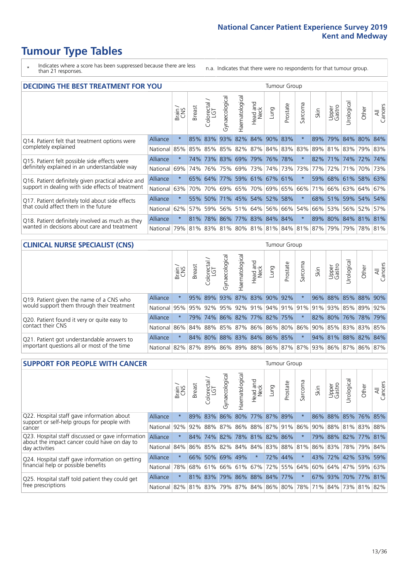- \* Indicates where a score has been suppressed because there are less than 21 responses.
- n.a. Indicates that there were no respondents for that tumour group.

| <b>DECIDING THE BEST TREATMENT FOR YOU</b>         |                 |         |               |                       |                         |                       |                         |      | <b>Tumour Group</b> |                                         |      |                 |                     |             |                |
|----------------------------------------------------|-----------------|---------|---------------|-----------------------|-------------------------|-----------------------|-------------------------|------|---------------------|-----------------------------------------|------|-----------------|---------------------|-------------|----------------|
|                                                    |                 | Brain   | <b>Breast</b> | olorectal<br>LGT<br>Ũ | Gynaecological          | <b>Haematological</b> | ead and<br>Neck<br>Head | Lung | Prostate            | arcoma<br>ιñ                            | Skin | Upper<br>Gastro | Jrological          | Other       | All<br>Cancers |
| Q14. Patient felt that treatment options were      | Alliance        | $\star$ | 85%           | 83%                   | 93%                     |                       | 82% 84%                 | 90%  | 83%                 | $\star$                                 | 89%  | 79%             | 84% 80%             |             | 84%            |
| completely explained                               | National        | 85%     |               |                       | 85% 85% 85% 82% 87%     |                       |                         |      | 84% 83% 83%         |                                         | 89%  |                 | 81% 83% 79% 83%     |             |                |
| Q15. Patient felt possible side effects were       | <b>Alliance</b> | $\star$ | 74%           | 73%                   | 83%                     | 69% 79%               |                         |      | 76% 78%             |                                         | 82%  | 171%            | 74%                 | 72%         | 74%            |
| definitely explained in an understandable way      | National        | 69%     | 74%           | 76%                   | 75%                     |                       | 69% 73%                 |      | 74% 73%             | 73%                                     | 77%  | 72%             | 71%                 | 70% 73%     |                |
| Q16. Patient definitely given practical advice and | <b>Alliance</b> | $\star$ |               | 65% 64%               |                         |                       | 77% 59% 61% 67% 61%     |      |                     |                                         | 59%  |                 | 68% 61% 58% 63%     |             |                |
| support in dealing with side effects of treatment  | National        | 63%     | 70%           | 70%                   | 69%                     |                       | 65% 70%                 |      | 69% 65%             | 66%                                     | 71%  | 66%             | 63% 64% 67%         |             |                |
| Q17. Patient definitely told about side effects    | <b>Alliance</b> | $\star$ | 55%           | 50%                   |                         |                       | 71% 45% 54%             |      | 52% 58%             | $^\star$                                | 68%  | 51%             |                     | 59% 54%     | 54%            |
| that could affect them in the future               | National        | 62%     | 57%           | 59%                   |                         |                       | 56% 51% 64%             |      | 56% 66%             | 54%                                     | 66%  |                 | 53% 56% 52%         |             | 57%            |
| Q18. Patient definitely involved as much as they   | <b>Alliance</b> | $\star$ | 81%           |                       | 78% 86% 77% 83% 84% 84% |                       |                         |      |                     | $\star$                                 |      |                 | 89% 80% 84% 81% 81% |             |                |
| wanted in decisions about care and treatment       | National        | 79%     |               |                       |                         |                       |                         |      |                     | 81% 83% 81% 80% 81% 81% 84% 81% 87% 79% |      |                 |                     | 79% 78% 81% |                |

### **CLINICAL NURSE SPECIALIST (CNS)** Tumour Group

|                                             |          | Brain   | <b>Breast</b>                                       | olorectal<br>LGT<br>Ü | aecologica<br>Š         | $\overline{\sigma}$<br>Ü<br>Haematologi | Head and<br>Neck | Lung | Prostate | Sarcoma | Skin | Upper<br>Gastro     | $\sigma$<br>rologica | Other           | All<br>ancers<br>Ü |
|---------------------------------------------|----------|---------|-----------------------------------------------------|-----------------------|-------------------------|-----------------------------------------|------------------|------|----------|---------|------|---------------------|----------------------|-----------------|--------------------|
| Q19. Patient given the name of a CNS who    | Alliance |         |                                                     | 95% 89% 93%           |                         |                                         | 87% 83% 90% 92%  |      |          |         | 96%  |                     |                      | 88% 85% 88% 90% |                    |
| would support them through their treatment  | National |         | 95% 95% 92% 95% 92% 91% 94% 91% 91% 91% 92% 85% 89% |                       |                         |                                         |                  |      |          |         |      |                     |                      |                 | 92%                |
| Q20. Patient found it very or quite easy to | Alliance | $\star$ | 79%                                                 |                       | 74% 86% 82% 77% 82% 75% |                                         |                  |      |          | $\star$ |      | 82% 80% 76% 78% 79% |                      |                 |                    |
| contact their CNS                           | National |         | 86% 84% 88% 85% 87% 86% 86% 80%                     |                       |                         |                                         |                  |      |          |         |      | 86% 90% 85% 83% 83% |                      |                 | 85%                |
| Q21. Patient got understandable answers to  | Alliance | $\star$ | 84%                                                 | $80\%$                | 88%                     |                                         | 83% 84% 86% 85%  |      |          | $\star$ |      | 94% 81% 88% 82%     |                      |                 | 84%                |
| important questions all or most of the time | National |         | 82% 87% 89% 86% 89% 88% 86% 87% 87% 93% 86% 87% 86% |                       |                         |                                         |                  |      |          |         |      |                     |                      |                 | 87%                |

| <b>SUPPORT FOR PEOPLE WITH CANCER</b>                                                             |                                          |          |               |                        |                       |                         |                        |      | Tumour Group |         |                         |                 |           |                 |                |
|---------------------------------------------------------------------------------------------------|------------------------------------------|----------|---------------|------------------------|-----------------------|-------------------------|------------------------|------|--------------|---------|-------------------------|-----------------|-----------|-----------------|----------------|
|                                                                                                   |                                          | Brain    | <b>Breast</b> | olorectal.<br>LGT<br>Ũ | <b>Gynaecological</b> | Haematological          | ad and<br>Neck<br>Head | Lung | Prostate     | Sarcoma | Skin                    | Upper<br>Gastro | Jrologica | Other           | All<br>Cancers |
| Q22. Hospital staff gave information about<br>support or self-help groups for people with         | Alliance                                 | $\star$  | 89%           | 83%                    | 86%                   |                         | 80% 77% 87%            |      | 89%          |         | 86%                     |                 |           | 88% 85% 76% 85% |                |
| cancer                                                                                            | National                                 | 92%      |               | 92% 88%                | 87%                   | 86% 88% 87% 91% 86%     |                        |      |              |         | 90%                     | 88%             |           | 81% 83% 88%     |                |
| Q23. Hospital staff discussed or gave information<br>about the impact cancer could have on day to | Alliance                                 | $\star$  | 84%           | 74%                    |                       | 82% 78% 81% 82% 86%     |                        |      |              |         | 79%                     |                 |           | 88% 82% 77% 81% |                |
| day activities                                                                                    | National                                 | 84%      |               | 86% 85%                |                       | 82% 84% 84% 83% 88% 81% |                        |      |              |         |                         | 86% 83%         |           | 78% 79%         | 84%            |
| Q24. Hospital staff gave information on getting                                                   | Alliance                                 | $\star$  |               | 66% 50%                |                       | 69% 49%                 | $\star$                |      | 72% 44%      | $\star$ | 43%                     | 72% 42% 53%     |           |                 | 59%            |
| financial help or possible benefits                                                               | National                                 | 78%      |               | 68% 61%                |                       | 66% 61% 67%             |                        |      | 72% 55%      | 64%     | 60%                     | 64% 47%         |           | 59%             | 63%            |
| Q25. Hospital staff told patient they could get                                                   | Alliance                                 | $^\star$ |               | 81% 83%                | 79%                   |                         | 86% 88% 84% 77%        |      |              | $\star$ | 67%                     | 93% 70% 77%     |           |                 | 81%            |
| free prescriptions                                                                                | National 82% 81% 83% 79% 87% 84% 86% 80% |          |               |                        |                       |                         |                        |      |              |         | 78% 71% 84% 73% 81% 82% |                 |           |                 |                |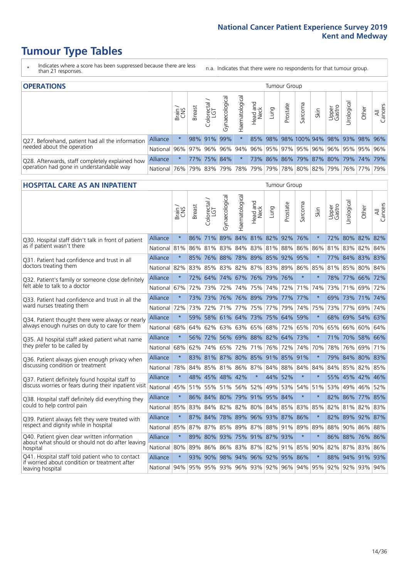- \* Indicates where a score has been suppressed because there are less than 21 responses.
- n.a. Indicates that there were no respondents for that tumour group.

| <b>OPERATIONS</b>                                |                 |               |               |            |                |                |                  |      | Tumour Group |                                                                 |      |                 |                 |       |                |
|--------------------------------------------------|-----------------|---------------|---------------|------------|----------------|----------------|------------------|------|--------------|-----------------------------------------------------------------|------|-----------------|-----------------|-------|----------------|
|                                                  |                 | Brain.<br>CNS | <b>Breast</b> | Colorectal | Gynaecological | Haematological | Head and<br>Neck | Lung | Prostate     | Sarcoma                                                         | Skin | Upper<br>Gastro | Irological      | Other | All<br>Cancers |
| Q27. Beforehand, patient had all the information | <b>Alliance</b> |               |               | 98% 91%    | 99%            |                |                  |      |              | 85% 98% 98% 100% 94%                                            |      |                 | 98% 93% 98%     |       | 96%            |
| needed about the operation                       | National        | 96%           |               | 97% 96%    | $96\%$         | 94%            |                  |      |              | 96%   95%   97%   95%   96%                                     |      |                 | 96% 95% 95% 96% |       |                |
| Q28. Afterwards, staff completely explained how  | <b>Alliance</b> | $^\star$      |               |            | 77% 75% 84%    | $\ast$         |                  |      |              | 73% 86% 86% 79% 87% 80% 79% 74% 79%                             |      |                 |                 |       |                |
| operation had gone in understandable way         | National 76%    |               |               | 79% 83%    |                |                |                  |      |              | 79%   78%   79%   79%   78%   80%   82%   79%   76%   77%   79% |      |                 |                 |       |                |

### **HOSPITAL CARE AS AN INPATIENT** Tumour Group

|                                                                                                  |                                              | Brain,  | Breast | Colorectal /<br>LGT | Gynaecological              | Haematological          | aad and<br>Neck<br>Head | Lung        | Prostate | Sarcoma | Skin    | Upper<br>Gastro | Urological | Other               | All<br>Cancers |
|--------------------------------------------------------------------------------------------------|----------------------------------------------|---------|--------|---------------------|-----------------------------|-------------------------|-------------------------|-------------|----------|---------|---------|-----------------|------------|---------------------|----------------|
| Q30. Hospital staff didn't talk in front of patient                                              | <b>Alliance</b>                              | $\star$ | 86%    |                     | 71% 89% 84% 81% 82% 92% 76% |                         |                         |             |          |         | $\star$ |                 |            | 72% 80% 82% 82%     |                |
| as if patient wasn't there                                                                       | National 81%                                 |         | 86%    |                     | 81% 83% 84% 83% 81% 88%     |                         |                         |             |          | 86%     | 86%     |                 |            | 81% 83% 82% 84%     |                |
| 031. Patient had confidence and trust in all                                                     | Alliance                                     | $\star$ | 85%    |                     | 76% 88%                     |                         |                         | 78% 89% 85% | 92% 95%  |         |         |                 |            | 77% 84% 83% 83%     |                |
| doctors treating them                                                                            | National                                     | 82%     | 83%    | 85%                 | 83%                         | 82%                     | 87%                     | 83%         | 89%      | 86%     | 85%     | 81%             | 85%        | 80%                 | 84%            |
| Q32. Patient's family or someone close definitely                                                | Alliance                                     | $\star$ | 72%    |                     | 64% 74% 67% 76% 79% 76%     |                         |                         |             |          | $\star$ |         |                 |            | 78% 77% 66% 72%     |                |
| felt able to talk to a doctor                                                                    | National                                     | 67%     | 72%    | 73%                 | 72%                         | 74%                     | 75%                     |             | 74% 72%  | 71%     | 74%     | 73%             | 71%        | 69%                 | 72%            |
| Q33. Patient had confidence and trust in all the                                                 | Alliance                                     | $\star$ | 73%    | 73%                 | 76%                         | 76% 89% 79% 77%         |                         |             |          | 177%    | $\star$ | 69%             | 73%        | 71% 74%             |                |
| ward nurses treating them                                                                        | National 72%                                 |         | 73%    | 72%                 |                             | 71% 77%                 | 75%                     | 77%         | 79%      | 74%     | 75%     |                 | 73% 77%    |                     | 69% 74%        |
| Q34. Patient thought there were always or nearly                                                 | Alliance                                     | $\star$ | 59%    |                     | 58% 61% 64% 73% 75%         |                         |                         |             | 64%      | 59%     | $\star$ |                 | 68% 69%    | 54% 63%             |                |
| always enough nurses on duty to care for them                                                    | National                                     | 68%     | 64%    |                     | 62% 63% 63% 65% 68% 72%     |                         |                         |             |          | 65%     | 70%     |                 |            | 65% 66% 60% 64%     |                |
| Q35. All hospital staff asked patient what name                                                  | <b>Alliance</b>                              | $\star$ |        | 56% 72%             |                             | 56% 69% 88% 82% 64%     |                         |             |          | 173%    | $\star$ | 71%             | $ 70\% $   | 58% 66%             |                |
| they prefer to be called by                                                                      | National                                     | 68%     | 62%    | 74%                 | 65%                         | 72%                     | 71%                     | 76%         | 72%      | 74%     | 70%     | 78%             | 76%        | 69%                 | 71%            |
| Q36. Patient always given enough privacy when                                                    | Alliance                                     | $\star$ | 83%    |                     | 81% 87% 80% 85% 91% 85% 91% |                         |                         |             |          |         | $\star$ |                 |            | 79% 84% 80% 83%     |                |
| discussing condition or treatment                                                                | National                                     | 78%     |        |                     | 84% 85% 81% 86% 87% 84% 88% |                         |                         |             |          | 84%     | 84%     |                 |            | 84% 85% 82% 85%     |                |
| Q37. Patient definitely found hospital staff to                                                  | Alliance                                     | $\star$ |        |                     | 48% 45% 48% 42%             |                         | $\star$                 | 44%         | 52%      | $\star$ | $\star$ |                 |            | 55% 45% 42% 46%     |                |
| discuss worries or fears during their inpatient visit                                            | National 45%                                 |         | 51%    | 55%                 |                             | 51% 56%                 | 52%                     | 49%         | 53%      | 54%     | 51%     |                 | 53% 49%    | 46%                 | 52%            |
| Q38. Hospital staff definitely did everything they                                               | Alliance                                     | $\star$ |        |                     | 86% 84% 80% 79% 91% 95% 84% |                         |                         |             |          | $\star$ | $\star$ |                 |            | 82% 86% 77% 85%     |                |
| could to help control pain                                                                       | National 85%                                 |         | 83%    |                     | 84% 82% 82% 80% 84% 85%     |                         |                         |             |          | 83%     | 85%     |                 |            | 82% 81% 82% 83%     |                |
| Q39. Patient always felt they were treated with                                                  | <b>Alliance</b>                              | $\star$ | 87%    | 84%                 | 78%                         | 89%                     |                         | 96% 93%     | 87%      | 86%     | $\ast$  | 82%             | 89%        | 92% 87%             |                |
| respect and dignity while in hospital                                                            | National                                     | 85%     | 87%    | 87%                 | 85%                         | 89%                     | 87%                     | 88%         | 91%      | 89%     | 89%     | 88%             | 90%        | 86%                 | 88%            |
| Q40. Patient given clear written information<br>about what should or should not do after leaving | Alliance                                     | $\star$ | 89%    |                     | 80% 93% 75% 91% 87% 93%     |                         |                         |             |          | $\star$ | $\star$ |                 |            | 86% 88% 76% 86%     |                |
| hospital                                                                                         | National                                     | 80%     | 89%    |                     | 86% 86% 83% 87% 82% 91%     |                         |                         |             |          | 85%     | 90%     |                 |            | 82% 87% 83% 86%     |                |
| Q41. Hospital staff told patient who to contact<br>if worried about condition or treatment after | Alliance                                     | $\star$ | 93%    | 90%                 |                             | 98% 94% 96% 92% 95% 86% |                         |             |          |         |         | 88%             |            | 94% 91% 93%         |                |
| leaving hospital                                                                                 | National 94% 95% 95% 93% 96% 93% 92% 96% 94% |         |        |                     |                             |                         |                         |             |          |         |         |                 |            | 95% 92% 92% 93% 94% |                |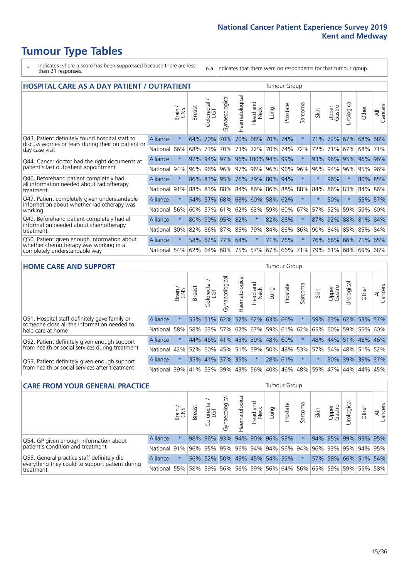- \* Indicates where a score has been suppressed because there are less than 21 responses.
- n.a. Indicates that there were no respondents for that tumour group.

| <b>HOSPITAL CARE AS A DAY PATIENT / OUTPATIENT</b>                                         |          |         |        |                            |                 |                |                         |             | <b>Tumour Group</b> |             |         |                 |            |                 |                |
|--------------------------------------------------------------------------------------------|----------|---------|--------|----------------------------|-----------------|----------------|-------------------------|-------------|---------------------|-------------|---------|-----------------|------------|-----------------|----------------|
|                                                                                            |          | Brain   | Breast | ╮<br>olorectal<br>LGT<br>Ū | Gynaecological  | Haematological | aad and<br>Neck<br>Head | Lung        | Prostate            | arcoma<br>S | Skin    | Upper<br>Gastro | Urological | Other           | All<br>Cancers |
| Q43. Patient definitely found hospital staff to                                            | Alliance | $\star$ | 64%    | 70%                        | 70%             | 70%            | 68%                     | 70%         | 74%                 | $\star$     | 71%     | 72%             | 67%        | 68%             | 68%            |
| discuss worries or fears during their outpatient or<br>day case visit                      | National | 66%     | 68%    | 73%                        | 70%             | 73%            | 72%                     | 70%         | 74%                 | 72%         | 72%     | 71%             | 67%        | 68%             | 71%            |
| Q44. Cancer doctor had the right documents at                                              | Alliance | $\star$ | 97%    | 94%                        |                 |                | 97% 96% 100% 94%        |             | 99%                 | $\star$     | 93%     | 96%             | 95%        | 96%             | 96%            |
| patient's last outpatient appointment                                                      | National | 94%     | 96%    | 96%                        | 96%             | 97%            |                         | 96% 96%     | 96%                 | 96%         | 96%     | 94%             | 96%        | 95%             | 96%            |
| Q46. Beforehand patient completely had<br>all information needed about radiotherapy        | Alliance | $\star$ |        | 86% 83% 95%                |                 |                | 76% 79% 80%             |             | 94%                 | $\star$     | $\star$ | 96%             | $\star$    |                 | 80% 85%        |
| treatment                                                                                  | National | 91%     | 88%    | 83%                        | 88%             | 84%            |                         | 86% 86%     | 88%                 | 88%         | 84%     | 86%             | 83%        | 84%             | 86%            |
| Q47. Patient completely given understandable<br>information about whether radiotherapy was | Alliance | $\star$ |        |                            | 54% 57% 68%     |                | 68% 60%                 |             | 58% 62%             | $\star$     | $\star$ | 50%             | $\star$    | 55%             | 57%            |
| working                                                                                    | National | 56%     | 60%    | 57%                        | 61%             | 62%            |                         | 63% 59% 60% |                     | 67%         | 57%     | 52%             | 59%        | 59%             | 60%            |
| Q49. Beforehand patient completely had all<br>information needed about chemotherapy        | Alliance | $\star$ |        |                            | 80% 90% 95% 82% |                | $\star$                 | 82%         | 86%                 | $\star$     |         | 87% 92%         |            | 88% 81% 84%     |                |
| treatment                                                                                  | National | 80%     | 82%    |                            | 86% 87%         | 85%            | 79%                     |             | 84% 86%             | 86%         |         | 90% 84%         |            | 85% 85%         | 84%            |
| Q50. Patient given enough information about                                                | Alliance | $\star$ | 58%    | 62%                        | 77%             | 64%            | $\star$                 | 71%         | 76%                 | $\ast$      |         |                 |            | 76% 66% 66% 71% | 65%            |
| whether chemotherapy was working in a<br>completely understandable way                     | National | 54%     | 62%    | 64%                        | 68%             | 75%            |                         | 57% 67% 66% |                     | 71%         | 79%     | 61%             |            | 68% 69%         | 68%            |
| <b>HOME CARE AND SUPPORT</b>                                                               |          |         |        |                            |                 |                |                         |             | <b>Tumour Group</b> |             |         |                 |            |                 |                |
|                                                                                            |          |         |        |                            |                 |                |                         |             |                     |             |         |                 |            |                 |                |

|                                                                                              |          | Brain   | <b>Breast</b> | Colorectal<br>LGT           | ᠊ᢛ<br>Gynaecologic | Haematological | Head and<br>Neck | <b>Dung</b>                 | Prostate | Sarcoma  | Skin    | Upper<br>Gastro | Urologica           | Other | All<br>Cancers |
|----------------------------------------------------------------------------------------------|----------|---------|---------------|-----------------------------|--------------------|----------------|------------------|-----------------------------|----------|----------|---------|-----------------|---------------------|-------|----------------|
| Q51. Hospital staff definitely gave family or<br>someone close all the information needed to | Alliance | $\star$ |               | 55% 51%                     |                    |                |                  | 62% 52% 62% 63% 66%         |          |          |         |                 | 59% 63% 62% 53% 57% |       |                |
| help care at home                                                                            | National | 58%     | 58%           | 63%                         | 57%                |                |                  | 62% 67% 59% 61% 62%         |          |          | 65%     |                 | 60% 59% 55% 60%     |       |                |
| Q52. Patient definitely given enough support                                                 | Alliance | $\star$ |               | 44% 46% 41% 43% 39% 48% 60% |                    |                |                  |                             |          | $\star$  |         |                 | 48% 44% 51% 48% 46% |       |                |
| from health or social services during treatment                                              | National | 42%     |               | 52% 60%                     |                    |                |                  | 45%   51%   59%   50%   48% |          |          | 53% 57% |                 | 54% 48% 51% 52%     |       |                |
| Q53. Patient definitely given enough support                                                 | Alliance | $\star$ |               | 35% 41%                     |                    | 37% 35%        | $\star$          | 28% 61%                     |          | $^\star$ |         |                 | 30% 39% 39% 37%     |       |                |
| from health or social services after treatment                                               | National |         | 39% 41% 53%   |                             |                    |                |                  | 39%   43%   56%   40%       | 46%      | 48%      | 59%     | 47%             | 44%                 | 44%   | 45%            |

| <b>CARE FROM YOUR GENERAL PRACTICE</b>                                                        |                 |        |               |                   |                | Tumour Group                                              |                  |      |          |         |      |                 |                     |       |                |
|-----------------------------------------------------------------------------------------------|-----------------|--------|---------------|-------------------|----------------|-----------------------------------------------------------|------------------|------|----------|---------|------|-----------------|---------------------|-------|----------------|
|                                                                                               |                 | Brain, | <b>Breast</b> | Colorectal<br>LGT | Gynaecological | Haematological                                            | Head and<br>Neck | Lung | Prostate | Sarcoma | Skin | Upper<br>Gastro | Φ<br>Urologica      | Other | All<br>Cancers |
| Q54. GP given enough information about                                                        | <b>Alliance</b> |        |               |                   |                | 98% 96% 93% 94% 90% 96% 93%                               |                  |      |          |         |      |                 | 94% 95% 99% 93% 95% |       |                |
| patient's condition and treatment                                                             | National 91%    |        |               |                   |                | 96% 95% 95% 96% 94% 94% 96% 94% 96% 93% 93% 95% 94% 95%   |                  |      |          |         |      |                 |                     |       |                |
| Q55. General practice staff definitely did<br>everything they could to support patient during | <b>Alliance</b> |        |               | 56% 52%           |                | 50% 49% 45% 54% 59%                                       |                  |      |          |         |      |                 | 57% 58% 66% 51% 54% |       |                |
| treatment                                                                                     | National 55%    |        |               | 58% 59%           |                | 56%   56%   59%   56%   64%   56%   65%   59%   59%   55% |                  |      |          |         |      |                 |                     |       | 58%            |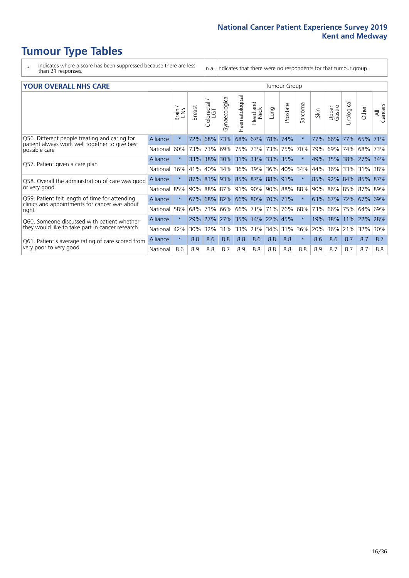- \* Indicates where a score has been suppressed because there are less than 21 responses.
- n.a. Indicates that there were no respondents for that tumour group.

#### **YOUR OVERALL NHS CARE** THE CONSTRUCTION OF THE THROUP GROUP TUMOUR GROUP

| I YUN YENALE BI DIYANE                                                                          |          |         |               |                            |                |                |                         |                             | anour oroup |              |      |                 |                 |                 |                |
|-------------------------------------------------------------------------------------------------|----------|---------|---------------|----------------------------|----------------|----------------|-------------------------|-----------------------------|-------------|--------------|------|-----------------|-----------------|-----------------|----------------|
|                                                                                                 |          | Brain   | <b>Breast</b> | ╮<br>olorectal<br>LGT<br>Û | Gynaecological | Haematological | ead and<br>Neck<br>Head | Lung                        | Prostate    | arcoma<br>ιñ | Skin | Upper<br>Gastro | ত্ত<br>Urologic | Other           | All<br>Cancers |
| Q56. Different people treating and caring for                                                   | Alliance | $\star$ | 72%           | 68%                        | 73%            | 68%            | 67%                     | 78% 74%                     |             | $\ast$       | 77%  | 66%             | 77%             | 65%             | 71%            |
| patient always work well together to give best<br>possible care                                 | National | 60%     |               | 73% 73%                    | 69%            | 75%            | 73%                     | 73% 75%                     |             | 70%          | 79%  | 69%             | 74%             | 68%             | 73%            |
| Q57. Patient given a care plan                                                                  | Alliance | $\star$ | $33\%$        | 38%                        |                |                |                         | 30% 31% 31% 33% 35%         |             | $\ast$       | 49%  |                 |                 | 35% 38% 27% 34% |                |
|                                                                                                 | National | 36%     | 41%           | 40%                        | 34%            | 36%            | 39%                     | 36% 40%                     |             | 34%          | 44%  | 36%             | 33%             | 31%             | 38%            |
| Q58. Overall the administration of care was good                                                | Alliance | $\star$ | 87%           | 83%                        |                |                |                         | 93% 85% 87% 88% 91%         |             |              | 85%  | 92% 84%         |                 | 85% 87%         |                |
| or very good                                                                                    | National | 85%     |               | 90% 88%                    | 87% 91%        |                | $ 90\% $                | 90% 88%                     |             | 88%          | 90%  |                 |                 | 86% 85% 87% 89% |                |
| Q59. Patient felt length of time for attending<br>clinics and appointments for cancer was about | Alliance | $\star$ |               |                            |                |                |                         | 67% 68% 82% 66% 80% 70% 71% |             | $\star$      | 63%  | 67% 72% 67% 69% |                 |                 |                |
| right                                                                                           | National | 58%     | 68%           | 73%                        | 66%            | 66%            | 171%                    | 71%                         | 76%         | 68%          | 73%  | 66%             | 75%             | 64%             | 69%            |
| Q60. Someone discussed with patient whether                                                     | Alliance | $\star$ |               | 29% 27%                    | 27% 35%        |                | 14%                     | 22%                         | 45%         | $\star$      | 19%  | 38%             | 11%             | $ 22\%$         | 28%            |
| they would like to take part in cancer research                                                 | National | 42%     | $30\%$        | 32%                        | 31%            | 33%            | 21%                     | 34%                         | $ 31\%$     | 36%          | 20%  | 36%             | 21%             | 32%             | 30%            |
| Q61. Patient's average rating of care scored from                                               | Alliance | $\star$ | 8.8           | 8.6                        | 8.8            | 8.8            | 8.6                     | 8.8                         | 8.8         | $\star$      | 8.6  | 8.6             | 8.7             | 8.7             | 8.7            |
| very poor to very good                                                                          | National | 8.6     | 8.9           | 8.8                        | 8.7            | 8.9            | 8.8                     | 8.8                         | 8.8         | 8.8          | 8.9  | 8.7             | 8.7             | 8.7             | 8.8            |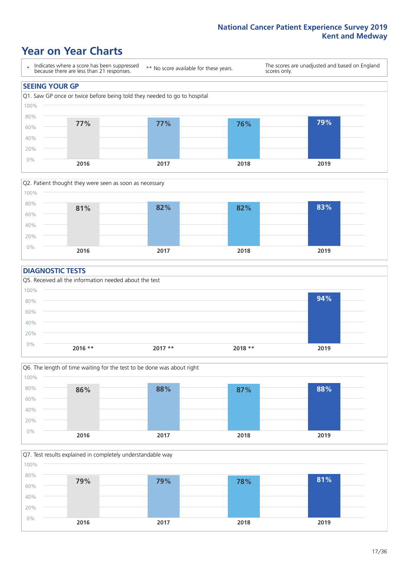### **Year on Year Charts**





#### **DIAGNOSTIC TESTS**





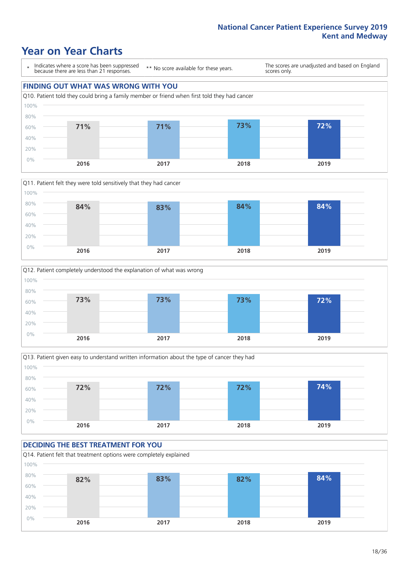### **Year on Year Charts**

\* Indicates where a score has been suppressed because there are less than 21 responses. \*\* No score available for these years.

The scores are unadjusted and based on England scores only.

### **FINDING OUT WHAT WAS WRONG WITH YOU** Q10. Patient told they could bring a family member or friend when first told they had cancer 0% 20% 40% 60% 80% 100% **2016 2017 2018 2019 71% 71% 73% 72%**







#### **DECIDING THE BEST TREATMENT FOR YOU**

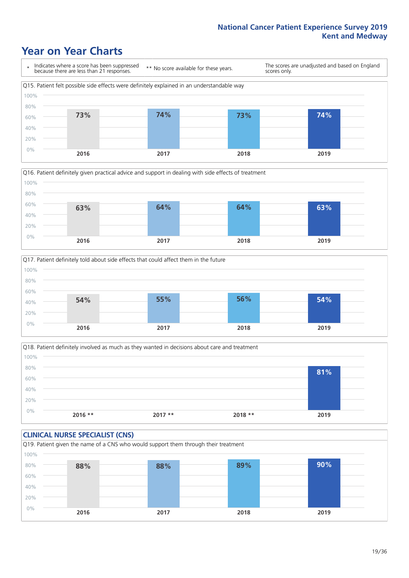### **Year on Year Charts**







Q18. Patient definitely involved as much as they wanted in decisions about care and treatment  $0%$ 20% 40% 60% 80% 100% **2016 \*\* 2017 \*\* 2018 \*\* 2019 81%**

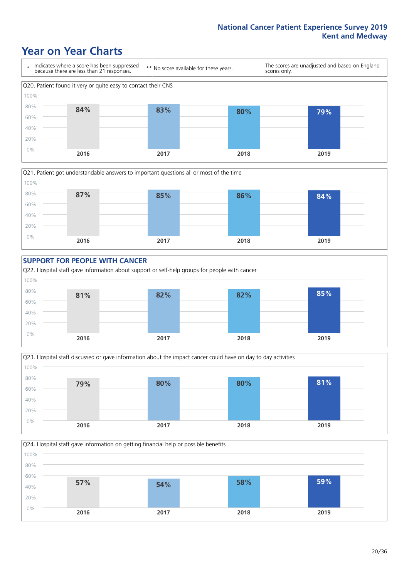### **Year on Year Charts**









Q24. Hospital staff gave information on getting financial help or possible benefits 0% 20% 40% 60% 80% 100% **2016 2017 2018 2019 57% 54% 58% 59%**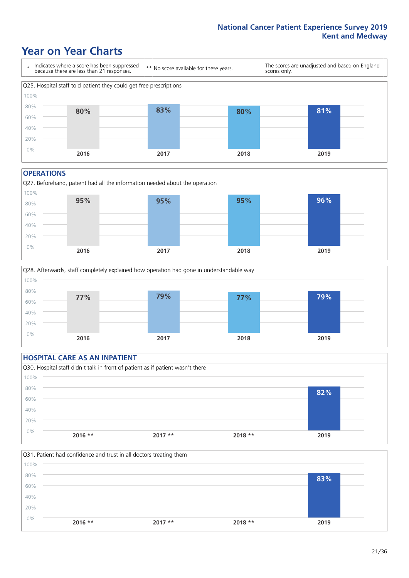### **Year on Year Charts**



#### **OPERATIONS**





### **HOSPITAL CARE AS AN INPATIENT** Q30. Hospital staff didn't talk in front of patient as if patient wasn't there 0% 20% 40% 60% 80% 100% **2016 \*\* 2017 \*\* 2018 \*\* 2019 82%**

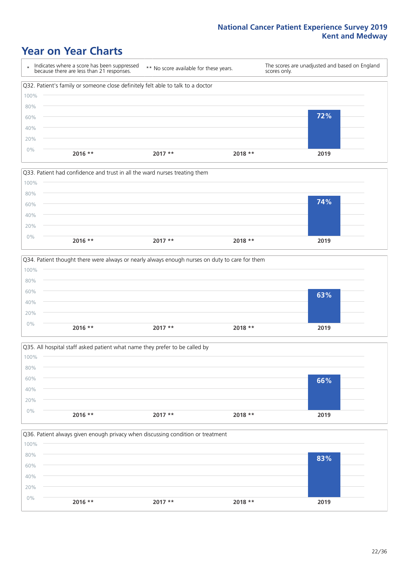### **Year on Year Charts**

|      | Indicates where a score has been suppressed<br>because there are less than 21 responses. | ** No score available for these years. | scores only. | The scores are unadjusted and based on England |
|------|------------------------------------------------------------------------------------------|----------------------------------------|--------------|------------------------------------------------|
|      | Q32. Patient's family or someone close definitely felt able to talk to a doctor          |                                        |              |                                                |
| 100% |                                                                                          |                                        |              |                                                |
| 80%  |                                                                                          |                                        |              |                                                |
| 60%  |                                                                                          |                                        |              | 72%                                            |
| 40%  |                                                                                          |                                        |              |                                                |
| 20%  |                                                                                          |                                        |              |                                                |
| 0%   | $2016$ **                                                                                | $2017**$                               | $2018**$     | 2019                                           |



|       |           | Q34. Patient thought there were always or nearly always enough nurses on duty to care for them |          |      |
|-------|-----------|------------------------------------------------------------------------------------------------|----------|------|
| 100%  |           |                                                                                                |          |      |
| 80%   |           |                                                                                                |          |      |
| 60%   |           |                                                                                                |          | 63%  |
| 40%   |           |                                                                                                |          |      |
| 20%   |           |                                                                                                |          |      |
| $0\%$ | $2016$ ** | $2017**$                                                                                       | $2018**$ | 2019 |

Q35. All hospital staff asked patient what name they prefer to be called by  $0%$ 20% 40% 60% 80% 100% **2016 \*\* 2017 \*\* 2018 \*\* 2019 66%**

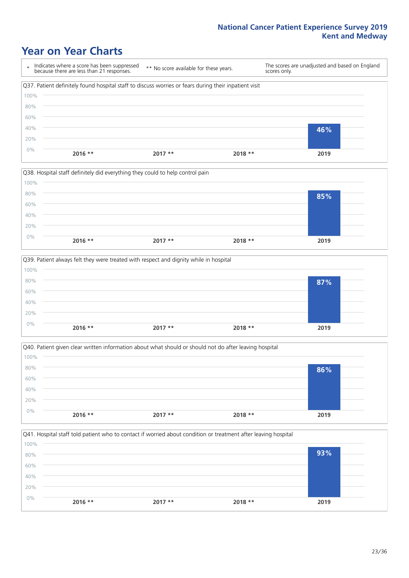### **Year on Year Charts**

\* Indicates where a score has been suppressed because there are less than 21 responses. \*\* No score available for these years. The scores are unadjusted and based on England scores only. Q37. Patient definitely found hospital staff to discuss worries or fears during their inpatient visit 0% 20% 40% 60% 80% 100% **2016 \*\* 2017 \*\* 2018 \*\* 2019 46%**



|       |           | Q39. Patient always felt they were treated with respect and dignity while in hospital |          |      |  |
|-------|-----------|---------------------------------------------------------------------------------------|----------|------|--|
| 100%  |           |                                                                                       |          |      |  |
| 80%   |           |                                                                                       |          | 87%  |  |
| 60%   |           |                                                                                       |          |      |  |
| 40%   |           |                                                                                       |          |      |  |
| 20%   |           |                                                                                       |          |      |  |
| $0\%$ | $2016$ ** | $2017$ **                                                                             | $2018**$ | 2019 |  |
|       |           |                                                                                       |          |      |  |

|       |           | Q40. Patient given clear written information about what should or should not do after leaving hospital |          |      |  |
|-------|-----------|--------------------------------------------------------------------------------------------------------|----------|------|--|
| 100%  |           |                                                                                                        |          |      |  |
| 80%   |           |                                                                                                        |          | 86%  |  |
| 60%   |           |                                                                                                        |          |      |  |
| 40%   |           |                                                                                                        |          |      |  |
| 20%   |           |                                                                                                        |          |      |  |
| $0\%$ | $2016$ ** | $2017**$                                                                                               | $2018**$ | 2019 |  |
|       |           |                                                                                                        |          |      |  |

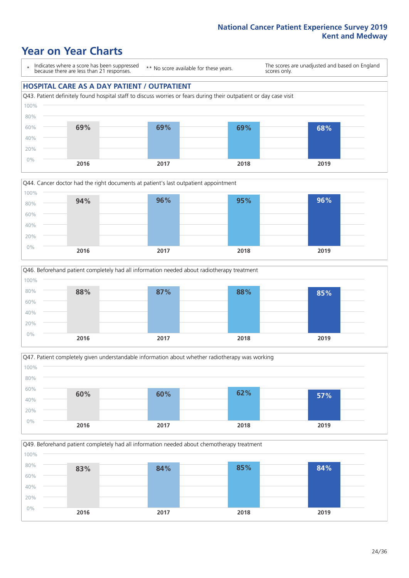### **Year on Year Charts**

\* Indicates where a score has been suppressed because there are less than 21 responses.

\*\* No score available for these years.

The scores are unadjusted and based on England scores only.

### **HOSPITAL CARE AS A DAY PATIENT / OUTPATIENT**









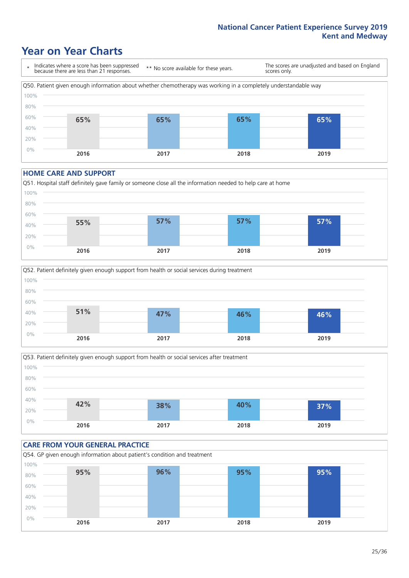### **Year on Year Charts**

\* Indicates where a score has been suppressed because there are less than 21 responses. \*\* No score available for these years. The scores are unadjusted and based on England scores only. Q50. Patient given enough information about whether chemotherapy was working in a completely understandable way 0% 20% 40% 60% 80% 100% **2016 2017 2018 2019 65% 65% 65% 65%**

#### **HOME CARE AND SUPPORT**







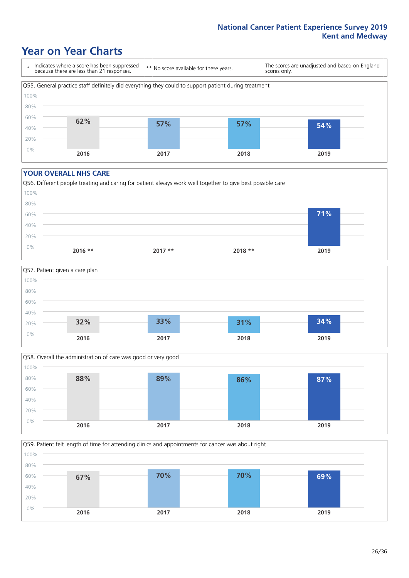### **Year on Year Charts**

\* Indicates where a score has been suppressed because there are less than 21 responses. \*\* No score available for these years. The scores are unadjusted and based on England scores only. Q55. General practice staff definitely did everything they could to support patient during treatment 0% 20% 40% 60% 80% 100% **2016 2017 2018 2019 62% 57% 57% 54%**

#### **YOUR OVERALL NHS CARE**







Q59. Patient felt length of time for attending clinics and appointments for cancer was about right 0% 20% 40% 60% 80% 100% **2016 2017 2018 2019 67% 70% 70% 69%**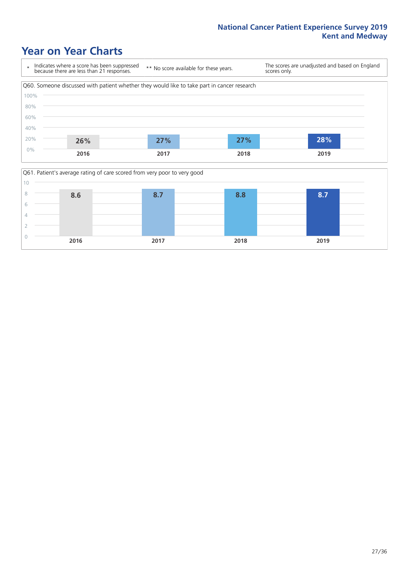# **Year on Year Charts**



| 10 |      | Q61. Patient's average rating of care scored from very poor to very good |      |      |
|----|------|--------------------------------------------------------------------------|------|------|
|    | 8.6  |                                                                          | 8.8  | 8.7  |
|    |      |                                                                          |      |      |
|    |      |                                                                          |      |      |
|    |      |                                                                          |      |      |
|    | 2016 | 2017                                                                     | 2018 | 2019 |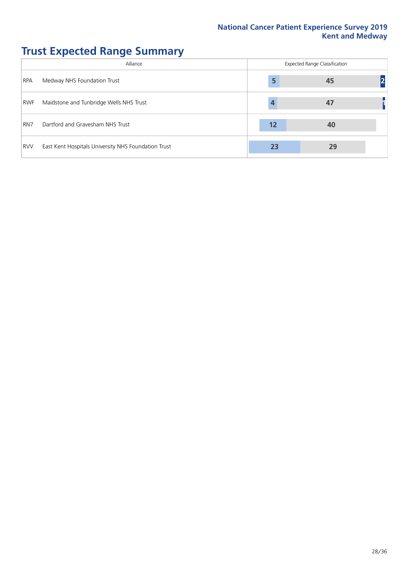# **Trust Expected Range Summary**

|                 | Alliance                                            | <b>Expected Range Classification</b> |    |  |  |  |  |  |
|-----------------|-----------------------------------------------------|--------------------------------------|----|--|--|--|--|--|
| <b>RPA</b>      | Medway NHS Foundation Trust                         | 5                                    | 45 |  |  |  |  |  |
| <b>RWF</b>      | Maidstone and Tunbridge Wells NHS Trust             |                                      | 47 |  |  |  |  |  |
| RN <sub>7</sub> | Dartford and Gravesham NHS Trust                    | 12                                   | 40 |  |  |  |  |  |
| <b>RVV</b>      | East Kent Hospitals University NHS Foundation Trust | 23                                   | 29 |  |  |  |  |  |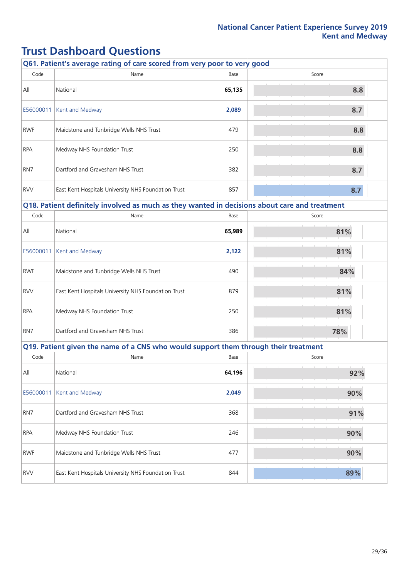# **Trust Dashboard Questions**

|            | Q61. Patient's average rating of care scored from very poor to very good                      |        |       |
|------------|-----------------------------------------------------------------------------------------------|--------|-------|
| Code       | Name                                                                                          | Base   | Score |
| All        | National                                                                                      | 65,135 | 8.8   |
| E56000011  | Kent and Medway                                                                               | 2,089  | 8.7   |
| <b>RWF</b> | Maidstone and Tunbridge Wells NHS Trust                                                       | 479    | 8.8   |
| <b>RPA</b> | Medway NHS Foundation Trust                                                                   | 250    | 8.8   |
| RN7        | Dartford and Gravesham NHS Trust                                                              | 382    | 8.7   |
| <b>RVV</b> | East Kent Hospitals University NHS Foundation Trust                                           | 857    | 8.7   |
|            | Q18. Patient definitely involved as much as they wanted in decisions about care and treatment |        |       |
| Code       | Name                                                                                          | Base   | Score |
| All        | National                                                                                      | 65,989 | 81%   |
| E56000011  | Kent and Medway                                                                               | 2,122  | 81%   |
| <b>RWF</b> | Maidstone and Tunbridge Wells NHS Trust                                                       | 490    | 84%   |
| <b>RVV</b> | East Kent Hospitals University NHS Foundation Trust                                           | 879    | 81%   |
| <b>RPA</b> | Medway NHS Foundation Trust                                                                   | 250    | 81%   |
| RN7        | Dartford and Gravesham NHS Trust                                                              | 386    | 78%   |
|            | Q19. Patient given the name of a CNS who would support them through their treatment           |        |       |
| Code       | Name                                                                                          | Base   | Score |
| All        | National                                                                                      | 64,196 | 92%   |
| E56000011  | Kent and Medway                                                                               | 2,049  | 90%   |
| RN7        | Dartford and Gravesham NHS Trust                                                              | 368    | 91%   |
| <b>RPA</b> | Medway NHS Foundation Trust                                                                   | 246    | 90%   |
| <b>RWF</b> | Maidstone and Tunbridge Wells NHS Trust                                                       | 477    | 90%   |
| <b>RVV</b> | East Kent Hospitals University NHS Foundation Trust                                           | 844    | 89%   |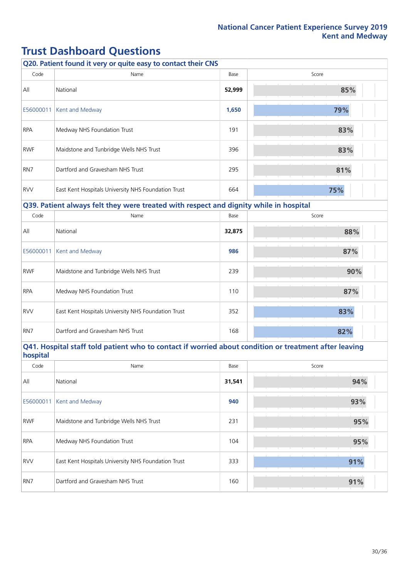# **Trust Dashboard Questions**

|            | Q20. Patient found it very or quite easy to contact their CNS                                         |        |       |
|------------|-------------------------------------------------------------------------------------------------------|--------|-------|
| Code       | Name                                                                                                  | Base   | Score |
| All        | National                                                                                              | 52,999 | 85%   |
| E56000011  | Kent and Medway                                                                                       | 1,650  | 79%   |
| <b>RPA</b> | Medway NHS Foundation Trust                                                                           | 191    | 83%   |
| <b>RWF</b> | Maidstone and Tunbridge Wells NHS Trust                                                               | 396    | 83%   |
| RN7        | Dartford and Gravesham NHS Trust                                                                      | 295    | 81%   |
| <b>RVV</b> | East Kent Hospitals University NHS Foundation Trust                                                   | 664    | 75%   |
|            | Q39. Patient always felt they were treated with respect and dignity while in hospital                 |        |       |
| Code       | Name                                                                                                  | Base   | Score |
| All        | National                                                                                              | 32,875 | 88%   |
| E56000011  | Kent and Medway                                                                                       | 986    | 87%   |
| <b>RWF</b> | Maidstone and Tunbridge Wells NHS Trust                                                               | 239    | 90%   |
| <b>RPA</b> | Medway NHS Foundation Trust                                                                           | 110    | 87%   |
| <b>RVV</b> | East Kent Hospitals University NHS Foundation Trust                                                   | 352    | 83%   |
| RN7        | Dartford and Gravesham NHS Trust                                                                      | 168    | 82%   |
| hospital   | Q41. Hospital staff told patient who to contact if worried about condition or treatment after leaving |        |       |
| Code       | Name                                                                                                  | Base   | Score |
| All        | National                                                                                              | 31,541 | 94%   |
| E56000011  | Kent and Medway                                                                                       | 940    | 93%   |
| <b>RWF</b> | Maidstone and Tunbridge Wells NHS Trust                                                               | 231    | 95%   |
| <b>RPA</b> | Medway NHS Foundation Trust                                                                           | 104    | 95%   |

RVV East Kent Hospitals University NHS Foundation Trust **333** 833 **91%** 

RN7 Dartford and Gravesham NHS Trust 160 **91%**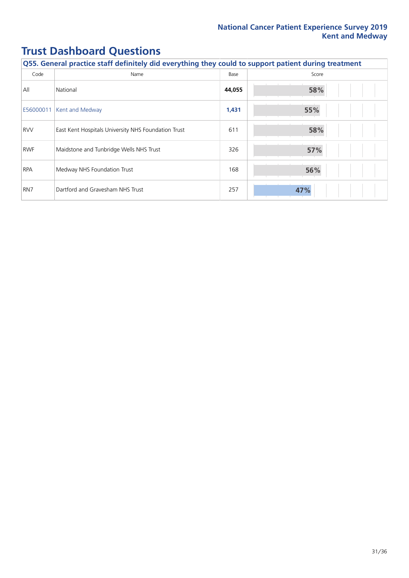# **Trust Dashboard Questions**

| Q55. General practice staff definitely did everything they could to support patient during treatment |                                                     |        |       |  |
|------------------------------------------------------------------------------------------------------|-----------------------------------------------------|--------|-------|--|
| Code                                                                                                 | Name                                                | Base   | Score |  |
| All                                                                                                  | National                                            | 44,055 | 58%   |  |
| E56000011                                                                                            | Kent and Medway                                     | 1,431  | 55%   |  |
| <b>RVV</b>                                                                                           | East Kent Hospitals University NHS Foundation Trust | 611    | 58%   |  |
| <b>RWF</b>                                                                                           | Maidstone and Tunbridge Wells NHS Trust             | 326    | 57%   |  |
| <b>RPA</b>                                                                                           | Medway NHS Foundation Trust                         | 168    | 56%   |  |
| RN7                                                                                                  | Dartford and Gravesham NHS Trust                    | 257    | 47%   |  |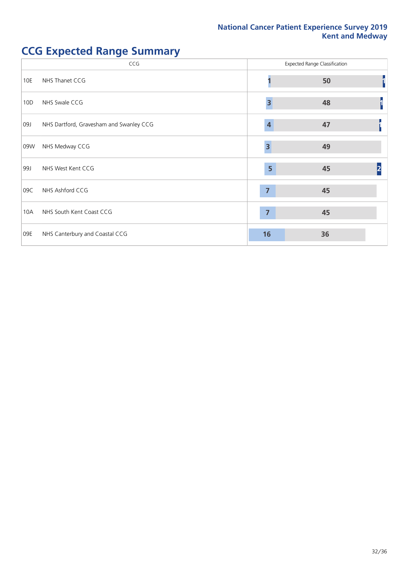# **CCG Expected Range Summary**

|     | CCG                                     |                         | <b>Expected Range Classification</b> |  |
|-----|-----------------------------------------|-------------------------|--------------------------------------|--|
| 10E | NHS Thanet CCG                          |                         | 50                                   |  |
| 10D | NHS Swale CCG                           | $\overline{\mathbf{3}}$ | 48                                   |  |
| 09J | NHS Dartford, Gravesham and Swanley CCG | 4                       | 47                                   |  |
| 09W | NHS Medway CCG                          | $\overline{\mathbf{3}}$ | 49                                   |  |
| 99J | NHS West Kent CCG                       | 5                       | 45                                   |  |
| 09C | NHS Ashford CCG                         | $\overline{7}$          | 45                                   |  |
| 10A | NHS South Kent Coast CCG                | $\overline{7}$          | 45                                   |  |
| 09E | NHS Canterbury and Coastal CCG          | 16                      | 36                                   |  |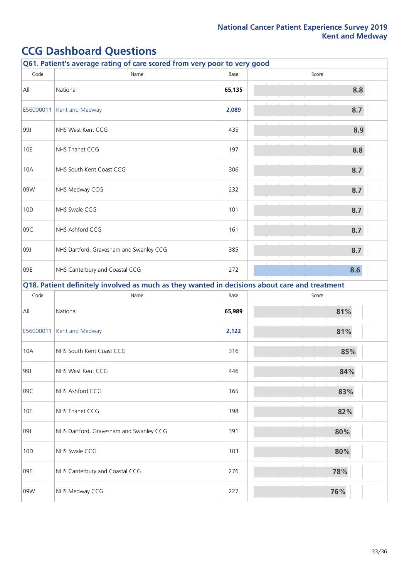| Q61. Patient's average rating of care scored from very poor to very good |                                                                                               |        |       |  |
|--------------------------------------------------------------------------|-----------------------------------------------------------------------------------------------|--------|-------|--|
| Code                                                                     | Name                                                                                          | Base   | Score |  |
| All                                                                      | National                                                                                      | 65,135 | 8.8   |  |
| E56000011                                                                | Kent and Medway                                                                               | 2,089  | 8.7   |  |
| 99J                                                                      | NHS West Kent CCG                                                                             | 435    | 8.9   |  |
| 10E                                                                      | NHS Thanet CCG                                                                                | 197    | 8.8   |  |
| 10A                                                                      | NHS South Kent Coast CCG                                                                      | 306    | 8.7   |  |
| 09W                                                                      | NHS Medway CCG                                                                                | 232    | 8.7   |  |
| 10D                                                                      | NHS Swale CCG                                                                                 | 101    | 8.7   |  |
| 09C                                                                      | NHS Ashford CCG                                                                               | 161    | 8.7   |  |
| 09J                                                                      | NHS Dartford, Gravesham and Swanley CCG                                                       | 385    | 8.7   |  |
| 09E                                                                      | NHS Canterbury and Coastal CCG                                                                | 272    | 8.6   |  |
|                                                                          | Q18. Patient definitely involved as much as they wanted in decisions about care and treatment |        |       |  |
| Code                                                                     | Name                                                                                          | Base   | Score |  |
| All                                                                      | National                                                                                      | 65,989 | 81%   |  |
| E56000011                                                                | Kent and Medway                                                                               | 2,122  | 81%   |  |
| 10A                                                                      | NHS South Kent Coast CCG                                                                      | 316    | 85%   |  |
| 99J                                                                      | NHS West Kent CCG                                                                             | 446    | 84%   |  |
| 09C                                                                      | NHS Ashford CCG                                                                               | 165    | 83%   |  |
| 10E                                                                      | NHS Thanet CCG                                                                                | 198    | 82%   |  |
| 09J                                                                      | NHS Dartford, Gravesham and Swanley CCG                                                       | 391    | 80%   |  |
| 10D                                                                      | NHS Swale CCG                                                                                 | 103    | 80%   |  |
| 09E                                                                      | NHS Canterbury and Coastal CCG                                                                | 276    | 78%   |  |
| 09W                                                                      | NHS Medway CCG                                                                                | 227    | 76%   |  |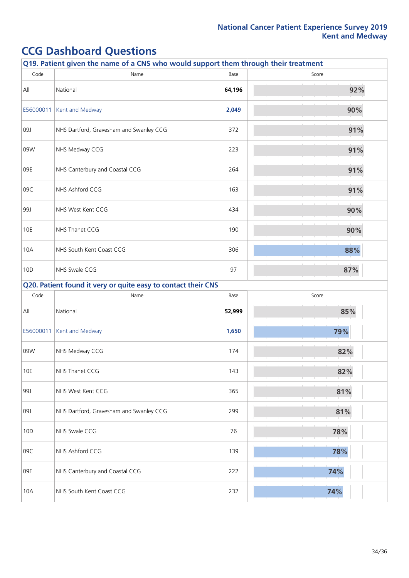| Q19. Patient given the name of a CNS who would support them through their treatment |                                                               |        |       |  |
|-------------------------------------------------------------------------------------|---------------------------------------------------------------|--------|-------|--|
| Code                                                                                | Name                                                          | Base   | Score |  |
| All                                                                                 | National                                                      | 64,196 | 92%   |  |
| E56000011                                                                           | Kent and Medway                                               | 2,049  | 90%   |  |
| 09J                                                                                 | NHS Dartford, Gravesham and Swanley CCG                       | 372    | 91%   |  |
| 09W                                                                                 | NHS Medway CCG                                                | 223    | 91%   |  |
| 09E                                                                                 | NHS Canterbury and Coastal CCG                                | 264    | 91%   |  |
| 09C                                                                                 | NHS Ashford CCG                                               | 163    | 91%   |  |
| 99J                                                                                 | NHS West Kent CCG                                             | 434    | 90%   |  |
| 10E                                                                                 | NHS Thanet CCG                                                | 190    | 90%   |  |
| 10A                                                                                 | NHS South Kent Coast CCG                                      | 306    | 88%   |  |
| 10D                                                                                 | NHS Swale CCG                                                 | 97     | 87%   |  |
|                                                                                     | Q20. Patient found it very or quite easy to contact their CNS |        |       |  |
| Code                                                                                | Name                                                          | Base   | Score |  |
| All                                                                                 | National                                                      | 52,999 | 85%   |  |
| E56000011                                                                           | Kent and Medway                                               | 1,650  | 79%   |  |
| 09W                                                                                 | NHS Medway CCG                                                | 174    | 82%   |  |
| $10E$                                                                               | NHS Thanet CCG                                                | 143    | 82%   |  |
| 99J                                                                                 | NHS West Kent CCG                                             | 365    | 81%   |  |
| 09J                                                                                 | NHS Dartford, Gravesham and Swanley CCG                       | 299    | 81%   |  |
| 10D                                                                                 | NHS Swale CCG                                                 | 76     | 78%   |  |
| 09C                                                                                 | NHS Ashford CCG                                               | 139    | 78%   |  |
| 09E                                                                                 | NHS Canterbury and Coastal CCG                                | 222    | 74%   |  |
| 10A                                                                                 | NHS South Kent Coast CCG                                      | 232    | 74%   |  |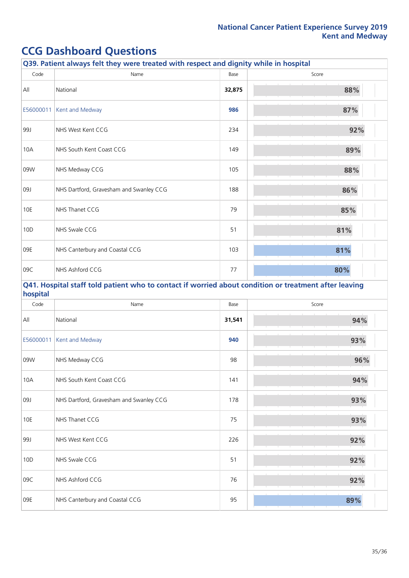|            | Q39. Patient always felt they were treated with respect and dignity while in hospital                 |        |       |
|------------|-------------------------------------------------------------------------------------------------------|--------|-------|
| Code       | Name                                                                                                  | Base   | Score |
| All        | National                                                                                              | 32,875 | 88%   |
| E56000011  | Kent and Medway                                                                                       | 986    | 87%   |
| 99J        | NHS West Kent CCG                                                                                     | 234    | 92%   |
| 10A        | NHS South Kent Coast CCG                                                                              | 149    | 89%   |
| 09W        | NHS Medway CCG                                                                                        | 105    | 88%   |
| 09J        | NHS Dartford, Gravesham and Swanley CCG                                                               | 188    | 86%   |
| <b>10E</b> | NHS Thanet CCG                                                                                        | 79     | 85%   |
| 10D        | NHS Swale CCG                                                                                         | 51     | 81%   |
| 09E        | NHS Canterbury and Coastal CCG                                                                        | 103    | 81%   |
| 09C        | NHS Ashford CCG                                                                                       | 77     | 80%   |
| hospital   | Q41. Hospital staff told patient who to contact if worried about condition or treatment after leaving |        |       |
| Code       | Name                                                                                                  | Base   | Score |
| All        | National                                                                                              | 31,541 | 94%   |
| E56000011  | Kent and Medway                                                                                       | 940    | 93%   |
| 09W        | NHS Medway CCG                                                                                        | 98     | 96%   |
| 10A        | NHS South Kent Coast CCG                                                                              | 141    | 94%   |
| 09J        | NHS Dartford, Gravesham and Swanley CCG                                                               | 178    | 93%   |
| 10E        | NHS Thanet CCG                                                                                        | 75     | 93%   |
| 99J        | NHS West Kent CCG                                                                                     | 226    | 92%   |
| 10D        | NHS Swale CCG                                                                                         | 51     | 92%   |
| 09C        | NHS Ashford CCG                                                                                       | 76     | 92%   |
| 09E        | NHS Canterbury and Coastal CCG                                                                        | 95     | 89%   |